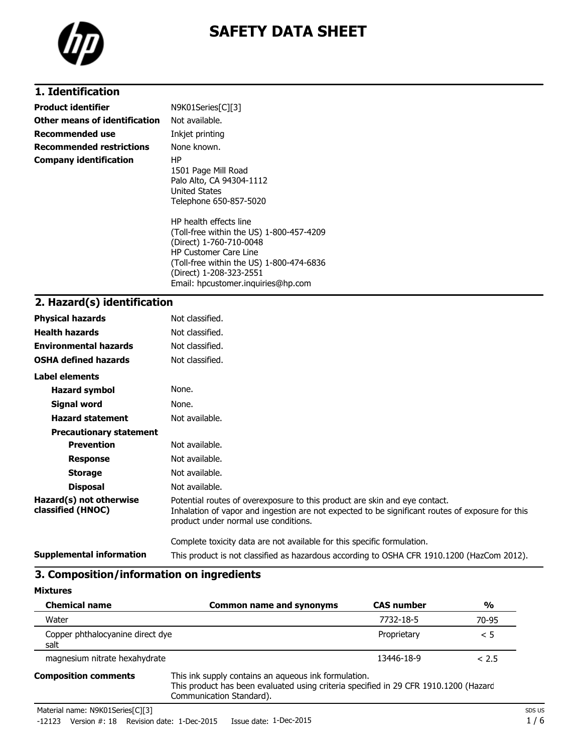

### **1. Identification**

| <b>Product identifier</b>       | N9K01Series[C][3]                                                                                                                                                                                                                          |
|---------------------------------|--------------------------------------------------------------------------------------------------------------------------------------------------------------------------------------------------------------------------------------------|
| Other means of identification   | Not available.                                                                                                                                                                                                                             |
| <b>Recommended use</b>          | Inkjet printing                                                                                                                                                                                                                            |
| <b>Recommended restrictions</b> | None known.                                                                                                                                                                                                                                |
| <b>Company identification</b>   | ΗP<br>1501 Page Mill Road<br>Palo Alto, CA 94304-1112<br><b>United States</b><br>Telephone 650-857-5020                                                                                                                                    |
|                                 | HP health effects line<br>(Toll-free within the US) 1-800-457-4209<br>(Direct) 1-760-710-0048<br><b>HP Customer Care Line</b><br>(Toll-free within the US) 1-800-474-6836<br>(Direct) 1-208-323-2551<br>Email: hpcustomer.inguiries@hp.com |

### **2. Hazard(s) identification**

| <b>Physical hazards</b>                      | Not classified.                                                                                                                                                                                                        |
|----------------------------------------------|------------------------------------------------------------------------------------------------------------------------------------------------------------------------------------------------------------------------|
| <b>Health hazards</b>                        | Not classified.                                                                                                                                                                                                        |
| <b>Environmental hazards</b>                 | Not classified.                                                                                                                                                                                                        |
| <b>OSHA defined hazards</b>                  | Not classified.                                                                                                                                                                                                        |
| Label elements                               |                                                                                                                                                                                                                        |
| <b>Hazard symbol</b>                         | None.                                                                                                                                                                                                                  |
| Signal word                                  | None.                                                                                                                                                                                                                  |
| <b>Hazard statement</b>                      | Not available.                                                                                                                                                                                                         |
| <b>Precautionary statement</b>               |                                                                                                                                                                                                                        |
| <b>Prevention</b>                            | Not available.                                                                                                                                                                                                         |
| <b>Response</b>                              | Not available.                                                                                                                                                                                                         |
| <b>Storage</b>                               | Not available.                                                                                                                                                                                                         |
| <b>Disposal</b>                              | Not available.                                                                                                                                                                                                         |
| Hazard(s) not otherwise<br>classified (HNOC) | Potential routes of overexposure to this product are skin and eye contact.<br>Inhalation of vapor and ingestion are not expected to be significant routes of exposure for this<br>product under normal use conditions. |
|                                              | Complete toxicity data are not available for this specific formulation.                                                                                                                                                |
| <b>Supplemental information</b>              | This product is not classified as hazardous according to OSHA CFR 1910.1200 (HazCom 2012).                                                                                                                             |

### **3. Composition/information on ingredients**

| <b>Chemical name</b>                     | <b>Common name and synonyms</b>                                                                                                                                          | <b>CAS number</b> | $\frac{0}{0}$ |
|------------------------------------------|--------------------------------------------------------------------------------------------------------------------------------------------------------------------------|-------------------|---------------|
| Water                                    |                                                                                                                                                                          | 7732-18-5         | 70-95         |
| Copper phthalocyanine direct dye<br>salt |                                                                                                                                                                          | Proprietary       | < 5           |
| magnesium nitrate hexahydrate            |                                                                                                                                                                          | 13446-18-9        | < 2.5         |
| <b>Composition comments</b>              | This ink supply contains an aqueous ink formulation.<br>This product has been evaluated using criteria specified in 29 CFR 1910.1200 (Hazard<br>Communication Standard). |                   |               |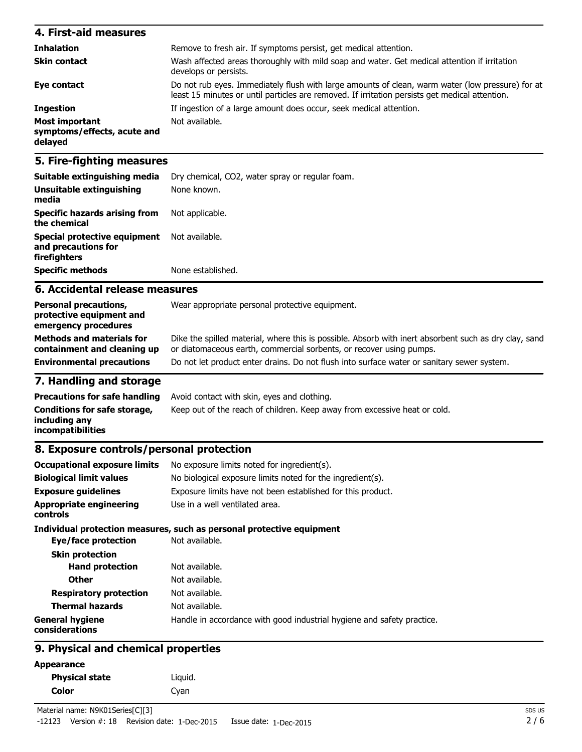| 4. First-aid measures                                    |                                                                                                                                                                                                    |
|----------------------------------------------------------|----------------------------------------------------------------------------------------------------------------------------------------------------------------------------------------------------|
| <b>Inhalation</b>                                        | Remove to fresh air. If symptoms persist, get medical attention.                                                                                                                                   |
| <b>Skin contact</b>                                      | Wash affected areas thoroughly with mild soap and water. Get medical attention if irritation<br>develops or persists.                                                                              |
| Eye contact                                              | Do not rub eyes. Immediately flush with large amounts of clean, warm water (low pressure) for at<br>least 15 minutes or until particles are removed. If irritation persists get medical attention. |
| <b>Ingestion</b>                                         | If ingestion of a large amount does occur, seek medical attention.                                                                                                                                 |
| Most important<br>symptoms/effects, acute and<br>delayed | Not available.                                                                                                                                                                                     |
|                                                          |                                                                                                                                                                                                    |

### **5. Fire-fighting measures**

| Suitable extinguishing media                                        | Dry chemical, CO2, water spray or regular foam. |
|---------------------------------------------------------------------|-------------------------------------------------|
| Unsuitable extinguishing<br>media                                   | None known.                                     |
| <b>Specific hazards arising from</b><br>the chemical                | Not applicable.                                 |
| Special protective equipment<br>and precautions for<br>firefighters | Not available.                                  |
| <b>Specific methods</b>                                             | None established.                               |

#### **6. Accidental release measures**

| Dike the spilled material, where this is possible. Absorb with inert absorbent such as dry clay, sand |
|-------------------------------------------------------------------------------------------------------|
|                                                                                                       |

#### **7. Handling and storage**

| <b>Precautions for safe handling</b>                                      | Avoid contact with skin, eyes and clothing.                               |
|---------------------------------------------------------------------------|---------------------------------------------------------------------------|
| Conditions for safe storage,<br>including anv<br><i>incompatibilities</i> | Keep out of the reach of children. Keep away from excessive heat or cold. |

# **8. Exposure controls/personal protection**

| <b>Occupational exposure limits</b>      | No exposure limits noted for ingredient(s).                            |
|------------------------------------------|------------------------------------------------------------------------|
| <b>Biological limit values</b>           | No biological exposure limits noted for the ingredient(s).             |
| <b>Exposure quidelines</b>               | Exposure limits have not been established for this product.            |
| Appropriate engineering<br>controls      | Use in a well ventilated area.                                         |
|                                          | Individual protection measures, such as personal protective equipment  |
| Eye/face protection                      | Not available.                                                         |
| <b>Skin protection</b>                   |                                                                        |
| <b>Hand protection</b>                   | Not available.                                                         |
| <b>Other</b>                             | Not available.                                                         |
| <b>Respiratory protection</b>            | Not available.                                                         |
| <b>Thermal hazards</b>                   | Not available.                                                         |
| <b>General hygiene</b><br>considerations | Handle in accordance with good industrial hygiene and safety practice. |
|                                          |                                                                        |

### **9. Physical and chemical properties**

#### **Appearance**

| <b>Physical state</b> | Liquid. |
|-----------------------|---------|
| Color                 | Cyan    |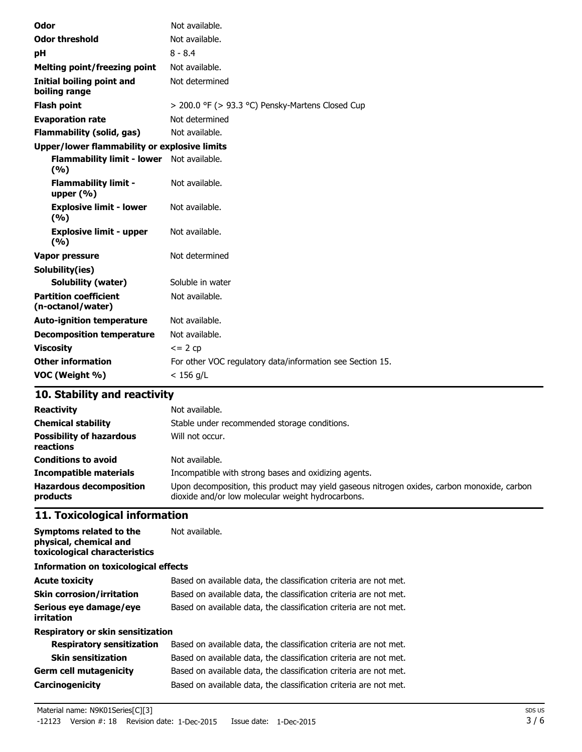| Odor                                                | Not available.                                            |
|-----------------------------------------------------|-----------------------------------------------------------|
| <b>Odor threshold</b>                               | Not available.                                            |
| рH                                                  | $8 - 8.4$                                                 |
| <b>Melting point/freezing point</b>                 | Not available.                                            |
| <b>Initial boiling point and</b><br>boiling range   | Not determined                                            |
| <b>Flash point</b>                                  | > 200.0 °F (> 93.3 °C) Pensky-Martens Closed Cup          |
| <b>Evaporation rate</b>                             | Not determined                                            |
| <b>Flammability (solid, gas)</b>                    | Not available.                                            |
| <b>Upper/lower flammability or explosive limits</b> |                                                           |
| Flammability limit - lower Not available.<br>(%)    |                                                           |
| <b>Flammability limit -</b><br>upper $(% )$         | Not available.                                            |
| <b>Explosive limit - lower</b><br>(%)               | Not available.                                            |
| <b>Explosive limit - upper</b><br>(%)               | Not available.                                            |
| Vapor pressure                                      | Not determined                                            |
| Solubility(ies)                                     |                                                           |
| <b>Solubility (water)</b>                           | Soluble in water                                          |
| <b>Partition coefficient</b><br>(n-octanol/water)   | Not available.                                            |
| <b>Auto-ignition temperature</b>                    | Not available.                                            |
| <b>Decomposition temperature</b>                    | Not available.                                            |
| <b>Viscosity</b>                                    | $= 2 cp$                                                  |
| <b>Other information</b>                            | For other VOC regulatory data/information see Section 15. |
| VOC (Weight %)                                      | $< 156$ g/L                                               |

# **10. Stability and reactivity**

| <b>Reactivity</b><br><b>Chemical stability</b><br><b>Possibility of hazardous</b><br>reactions | Not available.<br>Stable under recommended storage conditions.<br>Will not occur.                                                                |
|------------------------------------------------------------------------------------------------|--------------------------------------------------------------------------------------------------------------------------------------------------|
| <b>Conditions to avoid</b>                                                                     | Not available.                                                                                                                                   |
| <b>Incompatible materials</b>                                                                  | Incompatible with strong bases and oxidizing agents.                                                                                             |
| <b>Hazardous decomposition</b><br>products                                                     | Upon decomposition, this product may yield gaseous nitrogen oxides, carbon monoxide, carbon<br>dioxide and/or low molecular weight hydrocarbons. |

# **11. Toxicological information**

| Symptoms related to the<br>physical, chemical and<br>toxicological characteristics | Not available.                                                    |
|------------------------------------------------------------------------------------|-------------------------------------------------------------------|
| <b>Information on toxicological effects</b>                                        |                                                                   |
| <b>Acute toxicity</b>                                                              | Based on available data, the classification criteria are not met. |
| <b>Skin corrosion/irritation</b>                                                   | Based on available data, the classification criteria are not met. |
| Serious eye damage/eye<br>irritation                                               | Based on available data, the classification criteria are not met. |
| <b>Respiratory or skin sensitization</b>                                           |                                                                   |
| <b>Respiratory sensitization</b>                                                   | Based on available data, the classification criteria are not met. |
| <b>Skin sensitization</b>                                                          | Based on available data, the classification criteria are not met. |
| <b>Germ cell mutagenicity</b>                                                      | Based on available data, the classification criteria are not met. |
| <b>Carcinogenicity</b>                                                             | Based on available data, the classification criteria are not met. |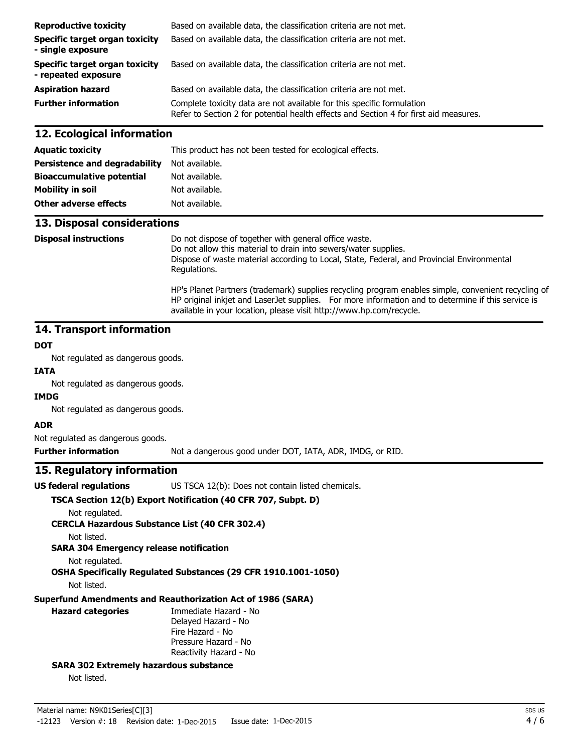| <b>Reproductive toxicity</b>                          | Based on available data, the classification criteria are not met.                                                                                               |
|-------------------------------------------------------|-----------------------------------------------------------------------------------------------------------------------------------------------------------------|
| Specific target organ toxicity<br>- single exposure   | Based on available data, the classification criteria are not met.                                                                                               |
| Specific target organ toxicity<br>- repeated exposure | Based on available data, the classification criteria are not met.                                                                                               |
| <b>Aspiration hazard</b>                              | Based on available data, the classification criteria are not met.                                                                                               |
| <b>Further information</b>                            | Complete toxicity data are not available for this specific formulation<br>Refer to Section 2 for potential health effects and Section 4 for first aid measures. |

#### **12. Ecological information**

| <b>Aquatic toxicity</b>              | This product has not been tested for ecological effects. |
|--------------------------------------|----------------------------------------------------------|
| <b>Persistence and degradability</b> | Not available.                                           |
| <b>Bioaccumulative potential</b>     | Not available.                                           |
| <b>Mobility in soil</b>              | Not available.                                           |
| Other adverse effects                | Not available.                                           |

#### **13. Disposal considerations**

**Disposal instructions** Do not dispose of together with general office waste. Do not allow this material to drain into sewers/water supplies. Dispose of waste material according to Local, State, Federal, and Provincial Environmental Regulations. HP's Planet Partners (trademark) supplies recycling program enables simple, convenient recycling of HP original inkjet and LaserJet supplies. For more information and to determine if this service is available in your location, please visit http://www.hp.com/recycle.

#### **14. Transport information**

#### **DOT**

Not regulated as dangerous goods.

# **IATA**

Not regulated as dangerous goods.

#### **IMDG**

Not regulated as dangerous goods.

#### **ADR**

Not regulated as dangerous goods.

**Further information** Not a dangerous good under DOT, IATA, ADR, IMDG, or RID.

#### **15. Regulatory information**

**US federal regulations** US TSCA 12(b): Does not contain listed chemicals.

#### **TSCA Section 12(b) Export Notification (40 CFR 707, Subpt. D)**

Not regulated.

**CERCLA Hazardous Substance List (40 CFR 302.4)**

Not listed.

**SARA 304 Emergency release notification**

```
Not regulated.
```
**OSHA Specifically Regulated Substances (29 CFR 1910.1001-1050)**

Not listed.

#### **Superfund Amendments and Reauthorization Act of 1986 (SARA)**

### **Hazard categories** Immediate Hazard - No Delayed Hazard - No Fire Hazard - No

Pressure Hazard - No Reactivity Hazard - No

#### **SARA 302 Extremely hazardous substance**

Not listed.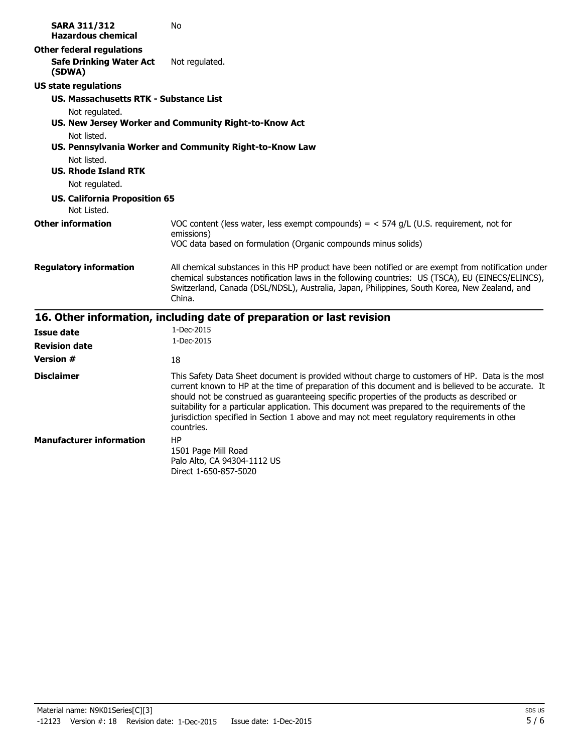| <b>Other federal regulations</b><br><b>Safe Drinking Water Act</b><br>Not regulated.<br>(SDWA)<br><b>US state regulations</b><br>US. Massachusetts RTK - Substance List<br>Not regulated.<br>US. New Jersey Worker and Community Right-to-Know Act<br>Not listed.<br>US. Pennsylvania Worker and Community Right-to-Know Law<br>Not listed.                                                                                                                                                                                               |               |
|-------------------------------------------------------------------------------------------------------------------------------------------------------------------------------------------------------------------------------------------------------------------------------------------------------------------------------------------------------------------------------------------------------------------------------------------------------------------------------------------------------------------------------------------|---------------|
|                                                                                                                                                                                                                                                                                                                                                                                                                                                                                                                                           |               |
|                                                                                                                                                                                                                                                                                                                                                                                                                                                                                                                                           |               |
|                                                                                                                                                                                                                                                                                                                                                                                                                                                                                                                                           |               |
|                                                                                                                                                                                                                                                                                                                                                                                                                                                                                                                                           |               |
|                                                                                                                                                                                                                                                                                                                                                                                                                                                                                                                                           |               |
| <b>US. Rhode Island RTK</b>                                                                                                                                                                                                                                                                                                                                                                                                                                                                                                               |               |
| Not regulated.                                                                                                                                                                                                                                                                                                                                                                                                                                                                                                                            |               |
| <b>US. California Proposition 65</b><br>Not Listed.                                                                                                                                                                                                                                                                                                                                                                                                                                                                                       |               |
| <b>Other information</b><br>VOC content (less water, less exempt compounds) = $<$ 574 g/L (U.S. requirement, not for<br>emissions)                                                                                                                                                                                                                                                                                                                                                                                                        |               |
| VOC data based on formulation (Organic compounds minus solids)                                                                                                                                                                                                                                                                                                                                                                                                                                                                            |               |
| All chemical substances in this HP product have been notified or are exempt from notification under<br><b>Regulatory information</b><br>chemical substances notification laws in the following countries: US (TSCA), EU (EINECS/ELINCS),<br>Switzerland, Canada (DSL/NDSL), Australia, Japan, Philippines, South Korea, New Zealand, and<br>China.                                                                                                                                                                                        |               |
| 16. Other information, including date of preparation or last revision                                                                                                                                                                                                                                                                                                                                                                                                                                                                     |               |
| 1-Dec-2015<br><b>Issue date</b>                                                                                                                                                                                                                                                                                                                                                                                                                                                                                                           |               |
| 1-Dec-2015<br><b>Revision date</b>                                                                                                                                                                                                                                                                                                                                                                                                                                                                                                        |               |
| <b>Version #</b><br>18                                                                                                                                                                                                                                                                                                                                                                                                                                                                                                                    |               |
| <b>Disclaimer</b><br>This Safety Data Sheet document is provided without charge to customers of HP. Data is the most<br>current known to HP at the time of preparation of this document and is believed to be accurate. It<br>should not be construed as guaranteeing specific properties of the products as described or<br>suitability for a particular application. This document was prepared to the requirements of the<br>jurisdiction specified in Section 1 above and may not meet regulatory requirements in other<br>countries. |               |
| HP<br><b>Manufacturer information</b><br>1501 Page Mill Road<br>Palo Alto, CA 94304-1112 US<br>Direct 1-650-857-5020                                                                                                                                                                                                                                                                                                                                                                                                                      |               |
| Material name: N9K01Series[C][3]<br>$-12123$<br>Version #: 18 Revision date: 1-Dec-2015<br>Issue date: 1-Dec-2015                                                                                                                                                                                                                                                                                                                                                                                                                         | SDS US<br>5/6 |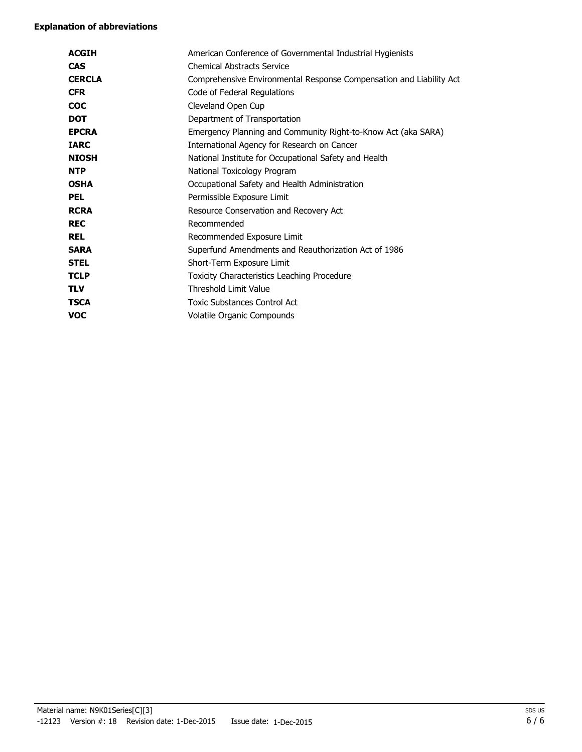#### **Explanation of abbreviations**

| <b>ACGIH</b>  | American Conference of Governmental Industrial Hygienists           |
|---------------|---------------------------------------------------------------------|
| <b>CAS</b>    | <b>Chemical Abstracts Service</b>                                   |
| <b>CERCLA</b> | Comprehensive Environmental Response Compensation and Liability Act |
| <b>CFR</b>    | Code of Federal Regulations                                         |
| <b>COC</b>    | Cleveland Open Cup                                                  |
| <b>DOT</b>    | Department of Transportation                                        |
| <b>EPCRA</b>  | Emergency Planning and Community Right-to-Know Act (aka SARA)       |
| <b>IARC</b>   | International Agency for Research on Cancer                         |
| <b>NIOSH</b>  | National Institute for Occupational Safety and Health               |
| <b>NTP</b>    | National Toxicology Program                                         |
| <b>OSHA</b>   | Occupational Safety and Health Administration                       |
| <b>PEL</b>    | Permissible Exposure Limit                                          |
| <b>RCRA</b>   | Resource Conservation and Recovery Act                              |
| <b>REC</b>    | Recommended                                                         |
| <b>REL</b>    | Recommended Exposure Limit                                          |
| <b>SARA</b>   | Superfund Amendments and Reauthorization Act of 1986                |
| <b>STEL</b>   | Short-Term Exposure Limit                                           |
| <b>TCLP</b>   | Toxicity Characteristics Leaching Procedure                         |
| <b>TLV</b>    | Threshold Limit Value                                               |
| <b>TSCA</b>   | <b>Toxic Substances Control Act</b>                                 |
| VOC           | Volatile Organic Compounds                                          |
|               |                                                                     |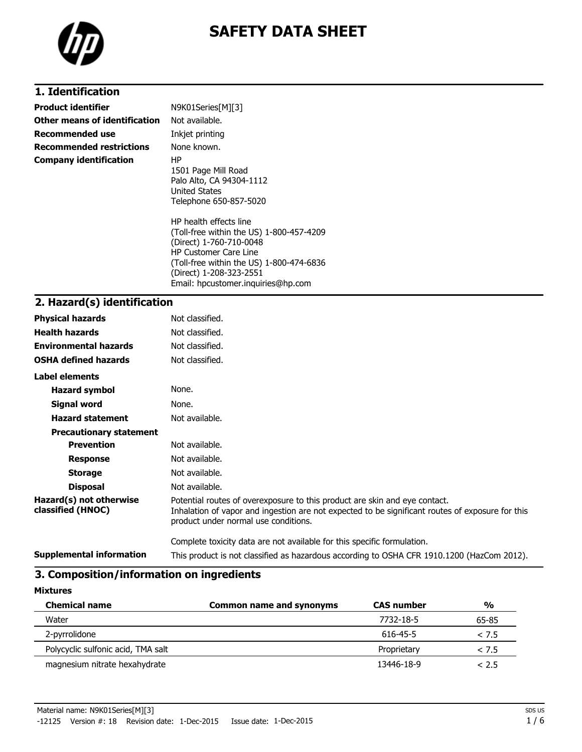

### **1. Identification**

| <b>Product identifier</b>       | N9K01Series[M][3]                                                                                                                                                                                                                          |
|---------------------------------|--------------------------------------------------------------------------------------------------------------------------------------------------------------------------------------------------------------------------------------------|
| Other means of identification   | Not available.                                                                                                                                                                                                                             |
| Recommended use                 | Inkjet printing                                                                                                                                                                                                                            |
| <b>Recommended restrictions</b> | None known.                                                                                                                                                                                                                                |
| <b>Company identification</b>   | ΗP<br>1501 Page Mill Road<br>Palo Alto, CA 94304-1112<br><b>United States</b><br>Telephone 650-857-5020                                                                                                                                    |
|                                 | HP health effects line<br>(Toll-free within the US) 1-800-457-4209<br>(Direct) 1-760-710-0048<br><b>HP Customer Care Line</b><br>(Toll-free within the US) 1-800-474-6836<br>(Direct) 1-208-323-2551<br>Email: hpcustomer.inguiries@hp.com |

### **2. Hazard(s) identification**

| <b>Physical hazards</b>                      | Not classified.                                                                                                                                                                                                        |
|----------------------------------------------|------------------------------------------------------------------------------------------------------------------------------------------------------------------------------------------------------------------------|
| <b>Health hazards</b>                        | Not classified.                                                                                                                                                                                                        |
| <b>Environmental hazards</b>                 | Not classified.                                                                                                                                                                                                        |
| <b>OSHA defined hazards</b>                  | Not classified.                                                                                                                                                                                                        |
| Label elements                               |                                                                                                                                                                                                                        |
| <b>Hazard symbol</b>                         | None.                                                                                                                                                                                                                  |
| Signal word                                  | None.                                                                                                                                                                                                                  |
| <b>Hazard statement</b>                      | Not available.                                                                                                                                                                                                         |
| <b>Precautionary statement</b>               |                                                                                                                                                                                                                        |
| <b>Prevention</b>                            | Not available.                                                                                                                                                                                                         |
| <b>Response</b>                              | Not available.                                                                                                                                                                                                         |
| <b>Storage</b>                               | Not available.                                                                                                                                                                                                         |
| <b>Disposal</b>                              | Not available.                                                                                                                                                                                                         |
| Hazard(s) not otherwise<br>classified (HNOC) | Potential routes of overexposure to this product are skin and eye contact.<br>Inhalation of vapor and ingestion are not expected to be significant routes of exposure for this<br>product under normal use conditions. |
|                                              | Complete toxicity data are not available for this specific formulation.                                                                                                                                                |
| <b>Supplemental information</b>              | This product is not classified as hazardous according to OSHA CFR 1910.1200 (HazCom 2012).                                                                                                                             |

### **3. Composition/information on ingredients**

| <b>Mixtures</b>                    |                                 |                   |               |
|------------------------------------|---------------------------------|-------------------|---------------|
| <b>Chemical name</b>               | <b>Common name and synonyms</b> | <b>CAS number</b> | $\frac{0}{0}$ |
| Water                              |                                 | 7732-18-5         | 65-85         |
| 2-pyrrolidone                      |                                 | 616-45-5          | < 7.5         |
| Polycyclic sulfonic acid, TMA salt |                                 | Proprietary       | < 7.5         |
| magnesium nitrate hexahydrate      |                                 | 13446-18-9        | < 2.5         |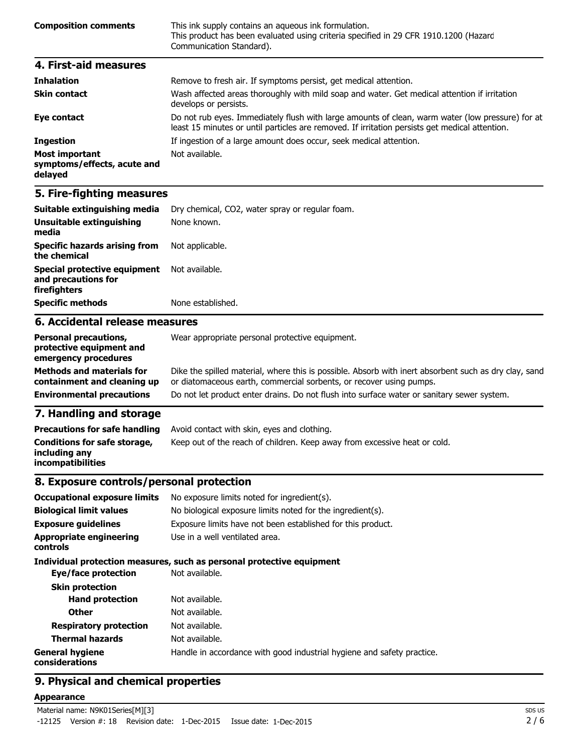| <b>Composition comments</b> | This ink supply contains an aqueous ink formulation.<br>This product has been evaluated using criteria specified in 29 CFR 1910.1200 (Hazard<br>Communication Standard). |
|-----------------------------|--------------------------------------------------------------------------------------------------------------------------------------------------------------------------|
| 4. First-aid measures       |                                                                                                                                                                          |

| <b>Inhalation</b>                                               | Remove to fresh air. If symptoms persist, get medical attention.                                                                                                                                   |
|-----------------------------------------------------------------|----------------------------------------------------------------------------------------------------------------------------------------------------------------------------------------------------|
| <b>Skin contact</b>                                             | Wash affected areas thoroughly with mild soap and water. Get medical attention if irritation<br>develops or persists.                                                                              |
| Eye contact                                                     | Do not rub eyes. Immediately flush with large amounts of clean, warm water (low pressure) for at<br>least 15 minutes or until particles are removed. If irritation persists get medical attention. |
| <b>Ingestion</b>                                                | If ingestion of a large amount does occur, seek medical attention.                                                                                                                                 |
| <b>Most important</b><br>symptoms/effects, acute and<br>delayed | Not available.                                                                                                                                                                                     |

## **5. Fire-fighting measures**

| Suitable extinguishing media                                        | Dry chemical, CO2, water spray or regular foam. |
|---------------------------------------------------------------------|-------------------------------------------------|
| Unsuitable extinguishing<br>media                                   | None known.                                     |
| <b>Specific hazards arising from</b><br>the chemical                | Not applicable.                                 |
| Special protective equipment<br>and precautions for<br>firefighters | Not available.                                  |
| <b>Specific methods</b>                                             | None established.                               |
| 6. Accidental release measures                                      |                                                 |
| Derconal procautions                                                | Wear appropriate personal protective equipment  |

| <b>Personal precautions,</b><br>protective equipment and<br>emergency procedures | Wear appropriate personal protective equipment.                                                                                                                              |
|----------------------------------------------------------------------------------|------------------------------------------------------------------------------------------------------------------------------------------------------------------------------|
| <b>Methods and materials for</b><br>containment and cleaning up                  | Dike the spilled material, where this is possible. Absorb with inert absorbent such as dry clay, sand<br>or diatomaceous earth, commercial sorbents, or recover using pumps. |
| <b>Environmental precautions</b>                                                 | Do not let product enter drains. Do not flush into surface water or sanitary sewer system.                                                                                   |
|                                                                                  |                                                                                                                                                                              |

### **7. Handling and storage**

| <b>Precautions for safe handling</b>                                      | Avoid contact with skin, eyes and clothing.                               |
|---------------------------------------------------------------------------|---------------------------------------------------------------------------|
| Conditions for safe storage,<br>including any<br><b>incompatibilities</b> | Keep out of the reach of children. Keep away from excessive heat or cold. |

#### **8. Exposure controls/personal protection**

| <b>Occupational exposure limits</b>        | No exposure limits noted for ingredient(s).                            |  |
|--------------------------------------------|------------------------------------------------------------------------|--|
| <b>Biological limit values</b>             | No biological exposure limits noted for the ingredient(s).             |  |
| <b>Exposure guidelines</b>                 | Exposure limits have not been established for this product.            |  |
| <b>Appropriate engineering</b><br>controls | Use in a well ventilated area.                                         |  |
|                                            | Individual protection measures, such as personal protective equipment  |  |
| Eye/face protection                        | Not available.                                                         |  |
| <b>Skin protection</b>                     |                                                                        |  |
| <b>Hand protection</b>                     | Not available.                                                         |  |
| Other                                      | Not available.                                                         |  |
| <b>Respiratory protection</b>              | Not available.                                                         |  |
| <b>Thermal hazards</b>                     | Not available.                                                         |  |
| <b>General hygiene</b><br>considerations   | Handle in accordance with good industrial hygiene and safety practice. |  |

### **9. Physical and chemical properties**

#### **Appearance**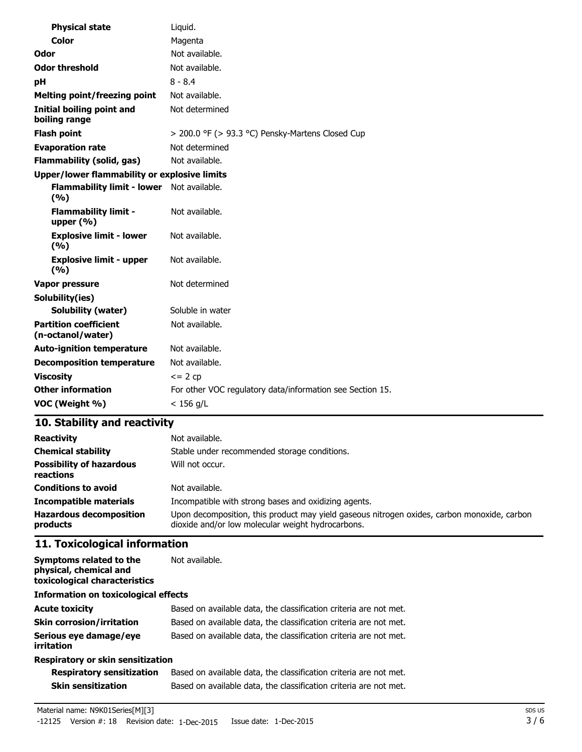| <b>Physical state</b>                               | Liquid.                                                   |
|-----------------------------------------------------|-----------------------------------------------------------|
| Color                                               | Magenta                                                   |
| Odor                                                | Not available.                                            |
| <b>Odor threshold</b>                               | Not available.                                            |
| рH                                                  | $8 - 8.4$                                                 |
| <b>Melting point/freezing point</b>                 | Not available.                                            |
| <b>Initial boiling point and</b><br>boiling range   | Not determined                                            |
| Flash point                                         | $>$ 200.0 °F ( $>$ 93.3 °C) Pensky-Martens Closed Cup     |
| <b>Evaporation rate</b>                             | Not determined                                            |
| <b>Flammability (solid, gas)</b>                    | Not available.                                            |
| <b>Upper/lower flammability or explosive limits</b> |                                                           |
| <b>Flammability limit - lower</b><br>(%)            | Not available.                                            |
| <b>Flammability limit -</b><br>upper $(% )$         | Not available.                                            |
| <b>Explosive limit - lower</b><br>(%)               | Not available.                                            |
| <b>Explosive limit - upper</b><br>(9/6)             | Not available.                                            |
| <b>Vapor pressure</b>                               | Not determined                                            |
| Solubility(ies)                                     |                                                           |
| <b>Solubility (water)</b>                           | Soluble in water                                          |
| <b>Partition coefficient</b><br>(n-octanol/water)   | Not available.                                            |
| <b>Auto-ignition temperature</b>                    | Not available.                                            |
| <b>Decomposition temperature</b>                    | Not available.                                            |
| <b>Viscosity</b>                                    | $\leq$ 2 cp                                               |
| <b>Other information</b>                            | For other VOC regulatory data/information see Section 15. |
| VOC (Weight %)                                      | $< 156$ g/L                                               |

## **10. Stability and reactivity**

| <b>Reactivity</b>                            | Not available.                                                                                                                                   |
|----------------------------------------------|--------------------------------------------------------------------------------------------------------------------------------------------------|
| <b>Chemical stability</b>                    | Stable under recommended storage conditions.                                                                                                     |
| <b>Possibility of hazardous</b><br>reactions | Will not occur.                                                                                                                                  |
| <b>Conditions to avoid</b>                   | Not available.                                                                                                                                   |
| <b>Incompatible materials</b>                | Incompatible with strong bases and oxidizing agents.                                                                                             |
| <b>Hazardous decomposition</b><br>products   | Upon decomposition, this product may yield gaseous nitrogen oxides, carbon monoxide, carbon<br>dioxide and/or low molecular weight hydrocarbons. |

## **11. Toxicological information**

| Symptoms related to the<br>physical, chemical and<br>toxicological characteristics | Not available.                                                    |
|------------------------------------------------------------------------------------|-------------------------------------------------------------------|
| <b>Information on toxicological effects</b>                                        |                                                                   |
| <b>Acute toxicity</b>                                                              | Based on available data, the classification criteria are not met. |
| <b>Skin corrosion/irritation</b>                                                   | Based on available data, the classification criteria are not met. |
| Serious eye damage/eye<br>irritation                                               | Based on available data, the classification criteria are not met. |
| Respiratory or skin sensitization                                                  |                                                                   |

| <b>Respiratory sensitization</b> | Based on available data, the classification criteria are not met. |
|----------------------------------|-------------------------------------------------------------------|
| Skin sensitization               | Based on available data, the classification criteria are not met. |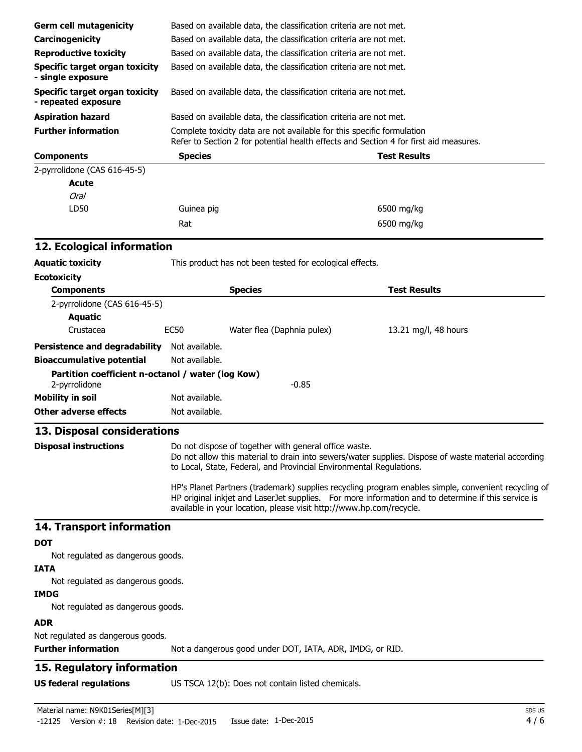| <b>Germ cell mutagenicity</b>                                      | Based on available data, the classification criteria are not met.                                                                                               |  |                                                                                                                                                                                                           |
|--------------------------------------------------------------------|-----------------------------------------------------------------------------------------------------------------------------------------------------------------|--|-----------------------------------------------------------------------------------------------------------------------------------------------------------------------------------------------------------|
| Carcinogenicity                                                    | Based on available data, the classification criteria are not met.                                                                                               |  |                                                                                                                                                                                                           |
| <b>Reproductive toxicity</b>                                       | Based on available data, the classification criteria are not met.                                                                                               |  |                                                                                                                                                                                                           |
| <b>Specific target organ toxicity</b><br>- single exposure         | Based on available data, the classification criteria are not met.                                                                                               |  |                                                                                                                                                                                                           |
| <b>Specific target organ toxicity</b><br>- repeated exposure       | Based on available data, the classification criteria are not met.                                                                                               |  |                                                                                                                                                                                                           |
| <b>Aspiration hazard</b>                                           | Based on available data, the classification criteria are not met.                                                                                               |  |                                                                                                                                                                                                           |
| <b>Further information</b>                                         | Complete toxicity data are not available for this specific formulation<br>Refer to Section 2 for potential health effects and Section 4 for first aid measures. |  |                                                                                                                                                                                                           |
| <b>Components</b>                                                  | <b>Species</b>                                                                                                                                                  |  | <b>Test Results</b>                                                                                                                                                                                       |
| 2-pyrrolidone (CAS 616-45-5)                                       |                                                                                                                                                                 |  |                                                                                                                                                                                                           |
| <b>Acute</b>                                                       |                                                                                                                                                                 |  |                                                                                                                                                                                                           |
| Oral                                                               |                                                                                                                                                                 |  |                                                                                                                                                                                                           |
| LD50                                                               | Guinea pig                                                                                                                                                      |  | 6500 mg/kg                                                                                                                                                                                                |
|                                                                    | Rat                                                                                                                                                             |  | 6500 mg/kg                                                                                                                                                                                                |
| 12. Ecological information                                         |                                                                                                                                                                 |  |                                                                                                                                                                                                           |
| <b>Aquatic toxicity</b>                                            | This product has not been tested for ecological effects.                                                                                                        |  |                                                                                                                                                                                                           |
| <b>Ecotoxicity</b>                                                 |                                                                                                                                                                 |  |                                                                                                                                                                                                           |
| <b>Components</b>                                                  | <b>Species</b>                                                                                                                                                  |  | <b>Test Results</b>                                                                                                                                                                                       |
| 2-pyrrolidone (CAS 616-45-5)<br><b>Aquatic</b>                     |                                                                                                                                                                 |  |                                                                                                                                                                                                           |
| Crustacea                                                          | <b>EC50</b><br>Water flea (Daphnia pulex)                                                                                                                       |  | 13.21 mg/l, 48 hours                                                                                                                                                                                      |
| <b>Persistence and degradability</b>                               | Not available.                                                                                                                                                  |  |                                                                                                                                                                                                           |
| <b>Bioaccumulative potential</b>                                   | Not available.                                                                                                                                                  |  |                                                                                                                                                                                                           |
| Partition coefficient n-octanol / water (log Kow)<br>2-pyrrolidone | $-0.85$                                                                                                                                                         |  |                                                                                                                                                                                                           |
| <b>Mobility in soil</b>                                            | Not available.                                                                                                                                                  |  |                                                                                                                                                                                                           |
| Other adverse effects                                              | Not available.                                                                                                                                                  |  |                                                                                                                                                                                                           |
| 13. Disposal considerations                                        |                                                                                                                                                                 |  |                                                                                                                                                                                                           |
| <b>Disposal instructions</b>                                       | Do not dispose of together with general office waste.<br>to Local, State, Federal, and Provincial Environmental Regulations.                                    |  | Do not allow this material to drain into sewers/water supplies. Dispose of waste material according                                                                                                       |
|                                                                    | available in your location, please visit http://www.hp.com/recycle.                                                                                             |  | HP's Planet Partners (trademark) supplies recycling program enables simple, convenient recycling of<br>HP original inkjet and LaserJet supplies. For more information and to determine if this service is |
| 14. Transport information                                          |                                                                                                                                                                 |  |                                                                                                                                                                                                           |
| <b>DOT</b>                                                         |                                                                                                                                                                 |  |                                                                                                                                                                                                           |
| Not regulated as dangerous goods.                                  |                                                                                                                                                                 |  |                                                                                                                                                                                                           |
| <b>IATA</b>                                                        |                                                                                                                                                                 |  |                                                                                                                                                                                                           |
| Not regulated as dangerous goods.                                  |                                                                                                                                                                 |  |                                                                                                                                                                                                           |
| <b>IMDG</b>                                                        |                                                                                                                                                                 |  |                                                                                                                                                                                                           |
| Not regulated as dangerous goods.                                  |                                                                                                                                                                 |  |                                                                                                                                                                                                           |
| <b>ADR</b>                                                         |                                                                                                                                                                 |  |                                                                                                                                                                                                           |
| Not regulated as dangerous goods.<br><b>Further information</b>    | Not a dangerous good under DOT, IATA, ADR, IMDG, or RID.                                                                                                        |  |                                                                                                                                                                                                           |
|                                                                    |                                                                                                                                                                 |  |                                                                                                                                                                                                           |
| 15. Regulatory information                                         |                                                                                                                                                                 |  |                                                                                                                                                                                                           |
| <b>US federal regulations</b>                                      | US TSCA 12(b): Does not contain listed chemicals.                                                                                                               |  |                                                                                                                                                                                                           |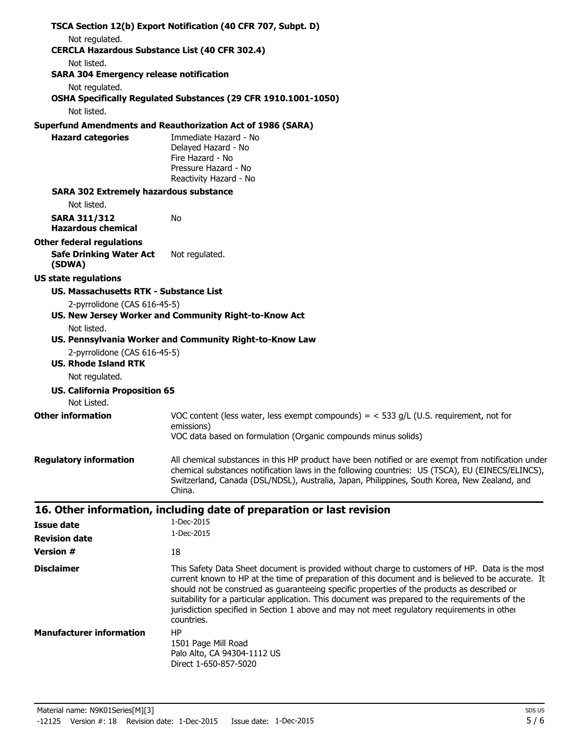|                                                                      | TSCA Section 12(b) Export Notification (40 CFR 707, Subpt. D)                                                                                                                                                                                                                                                                                                                                                                                                                                                        |
|----------------------------------------------------------------------|----------------------------------------------------------------------------------------------------------------------------------------------------------------------------------------------------------------------------------------------------------------------------------------------------------------------------------------------------------------------------------------------------------------------------------------------------------------------------------------------------------------------|
| Not regulated.                                                       |                                                                                                                                                                                                                                                                                                                                                                                                                                                                                                                      |
| <b>CERCLA Hazardous Substance List (40 CFR 302.4)</b><br>Not listed. |                                                                                                                                                                                                                                                                                                                                                                                                                                                                                                                      |
| <b>SARA 304 Emergency release notification</b>                       |                                                                                                                                                                                                                                                                                                                                                                                                                                                                                                                      |
| Not regulated.                                                       | OSHA Specifically Regulated Substances (29 CFR 1910.1001-1050)                                                                                                                                                                                                                                                                                                                                                                                                                                                       |
| Not listed.                                                          |                                                                                                                                                                                                                                                                                                                                                                                                                                                                                                                      |
|                                                                      | <b>Superfund Amendments and Reauthorization Act of 1986 (SARA)</b>                                                                                                                                                                                                                                                                                                                                                                                                                                                   |
| <b>Hazard categories</b>                                             | Immediate Hazard - No<br>Delayed Hazard - No<br>Fire Hazard - No<br>Pressure Hazard - No<br>Reactivity Hazard - No                                                                                                                                                                                                                                                                                                                                                                                                   |
| <b>SARA 302 Extremely hazardous substance</b>                        |                                                                                                                                                                                                                                                                                                                                                                                                                                                                                                                      |
| Not listed.                                                          |                                                                                                                                                                                                                                                                                                                                                                                                                                                                                                                      |
| <b>SARA 311/312</b><br><b>Hazardous chemical</b>                     | No                                                                                                                                                                                                                                                                                                                                                                                                                                                                                                                   |
| <b>Other federal regulations</b>                                     |                                                                                                                                                                                                                                                                                                                                                                                                                                                                                                                      |
| <b>Safe Drinking Water Act</b><br>(SDWA)                             | Not regulated.                                                                                                                                                                                                                                                                                                                                                                                                                                                                                                       |
| <b>US state regulations</b>                                          |                                                                                                                                                                                                                                                                                                                                                                                                                                                                                                                      |
| US. Massachusetts RTK - Substance List                               |                                                                                                                                                                                                                                                                                                                                                                                                                                                                                                                      |
| 2-pyrrolidone (CAS 616-45-5)                                         |                                                                                                                                                                                                                                                                                                                                                                                                                                                                                                                      |
|                                                                      | US. New Jersey Worker and Community Right-to-Know Act                                                                                                                                                                                                                                                                                                                                                                                                                                                                |
| Not listed.                                                          | US. Pennsylvania Worker and Community Right-to-Know Law                                                                                                                                                                                                                                                                                                                                                                                                                                                              |
| 2-pyrrolidone (CAS 616-45-5)                                         |                                                                                                                                                                                                                                                                                                                                                                                                                                                                                                                      |
| <b>US. Rhode Island RTK</b><br>Not regulated.                        |                                                                                                                                                                                                                                                                                                                                                                                                                                                                                                                      |
| <b>US. California Proposition 65</b>                                 |                                                                                                                                                                                                                                                                                                                                                                                                                                                                                                                      |
| Not Listed.                                                          |                                                                                                                                                                                                                                                                                                                                                                                                                                                                                                                      |
| <b>Other information</b>                                             | VOC content (less water, less exempt compounds) = $<$ 533 g/L (U.S. requirement, not for<br>emissions)                                                                                                                                                                                                                                                                                                                                                                                                               |
|                                                                      | VOC data based on formulation (Organic compounds minus solids)                                                                                                                                                                                                                                                                                                                                                                                                                                                       |
| <b>Regulatory information</b>                                        | All chemical substances in this HP product have been notified or are exempt from notification under<br>chemical substances notification laws in the following countries: US (TSCA), EU (EINECS/ELINCS),<br>Switzerland, Canada (DSL/NDSL), Australia, Japan, Philippines, South Korea, New Zealand, and<br>China.                                                                                                                                                                                                    |
|                                                                      | 16. Other information, including date of preparation or last revision                                                                                                                                                                                                                                                                                                                                                                                                                                                |
| Issue date                                                           | 1-Dec-2015                                                                                                                                                                                                                                                                                                                                                                                                                                                                                                           |
| <b>Revision date</b>                                                 | 1-Dec-2015                                                                                                                                                                                                                                                                                                                                                                                                                                                                                                           |
| <b>Version #</b>                                                     | 18                                                                                                                                                                                                                                                                                                                                                                                                                                                                                                                   |
| <b>Disclaimer</b>                                                    | This Safety Data Sheet document is provided without charge to customers of HP. Data is the most<br>current known to HP at the time of preparation of this document and is believed to be accurate. It<br>should not be construed as guaranteeing specific properties of the products as described or<br>suitability for a particular application. This document was prepared to the requirements of the<br>jurisdiction specified in Section 1 above and may not meet regulatory requirements in other<br>countries. |
| <b>Manufacturer information</b>                                      | HP                                                                                                                                                                                                                                                                                                                                                                                                                                                                                                                   |
|                                                                      | 1501 Page Mill Road<br>Palo Alto, CA 94304-1112 US<br>Direct 1-650-857-5020                                                                                                                                                                                                                                                                                                                                                                                                                                          |
|                                                                      |                                                                                                                                                                                                                                                                                                                                                                                                                                                                                                                      |
| Material name: N9K01Series[M][3]                                     | SDS US                                                                                                                                                                                                                                                                                                                                                                                                                                                                                                               |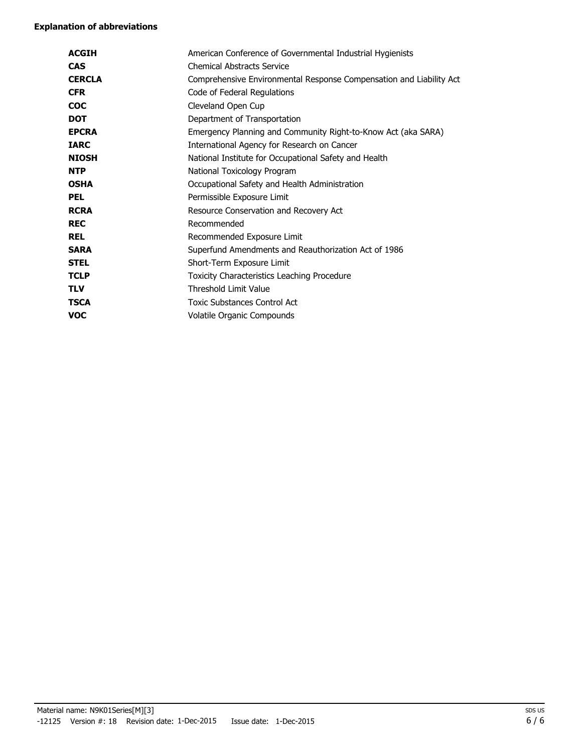#### **Explanation of abbreviations**

| <b>ACGIH</b>  | American Conference of Governmental Industrial Hygienists           |
|---------------|---------------------------------------------------------------------|
| <b>CAS</b>    | <b>Chemical Abstracts Service</b>                                   |
| <b>CERCLA</b> | Comprehensive Environmental Response Compensation and Liability Act |
| <b>CFR</b>    | Code of Federal Regulations                                         |
| <b>COC</b>    | Cleveland Open Cup                                                  |
| <b>DOT</b>    | Department of Transportation                                        |
| <b>EPCRA</b>  | Emergency Planning and Community Right-to-Know Act (aka SARA)       |
| <b>IARC</b>   | International Agency for Research on Cancer                         |
| <b>NIOSH</b>  | National Institute for Occupational Safety and Health               |
| <b>NTP</b>    | National Toxicology Program                                         |
| <b>OSHA</b>   | Occupational Safety and Health Administration                       |
| <b>PEL</b>    | Permissible Exposure Limit                                          |
| <b>RCRA</b>   | Resource Conservation and Recovery Act                              |
| <b>REC</b>    | Recommended                                                         |
| <b>REL</b>    | Recommended Exposure Limit                                          |
| <b>SARA</b>   | Superfund Amendments and Reauthorization Act of 1986                |
| <b>STEL</b>   | Short-Term Exposure Limit                                           |
| <b>TCLP</b>   | Toxicity Characteristics Leaching Procedure                         |
| <b>TLV</b>    | Threshold Limit Value                                               |
| <b>TSCA</b>   | <b>Toxic Substances Control Act</b>                                 |
| <b>VOC</b>    | Volatile Organic Compounds                                          |
|               |                                                                     |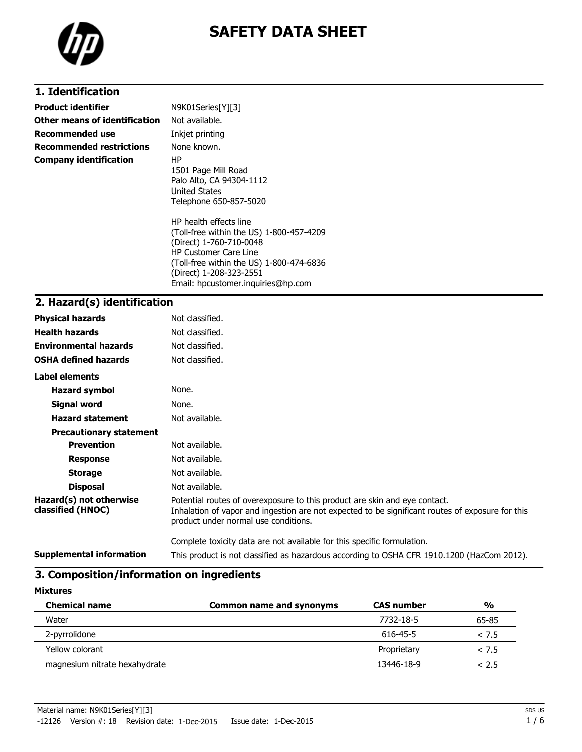

### **1. Identification**

| <b>Product identifier</b>       | N9K01Series[Y][3]                                                                                                                                                                                                                          |
|---------------------------------|--------------------------------------------------------------------------------------------------------------------------------------------------------------------------------------------------------------------------------------------|
| Other means of identification   | Not available.                                                                                                                                                                                                                             |
| Recommended use                 | Inkjet printing                                                                                                                                                                                                                            |
| <b>Recommended restrictions</b> | None known.                                                                                                                                                                                                                                |
| <b>Company identification</b>   | ΗP<br>1501 Page Mill Road<br>Palo Alto, CA 94304-1112<br><b>United States</b><br>Telephone 650-857-5020                                                                                                                                    |
|                                 | HP health effects line<br>(Toll-free within the US) 1-800-457-4209<br>(Direct) 1-760-710-0048<br><b>HP Customer Care Line</b><br>(Toll-free within the US) 1-800-474-6836<br>(Direct) 1-208-323-2551<br>Email: hpcustomer.inguiries@hp.com |

### **2. Hazard(s) identification**

| <b>Physical hazards</b>                      | Not classified.                                                                                                                                                                                                        |
|----------------------------------------------|------------------------------------------------------------------------------------------------------------------------------------------------------------------------------------------------------------------------|
| <b>Health hazards</b>                        | Not classified.                                                                                                                                                                                                        |
| <b>Environmental hazards</b>                 | Not classified.                                                                                                                                                                                                        |
| <b>OSHA defined hazards</b>                  | Not classified.                                                                                                                                                                                                        |
| Label elements                               |                                                                                                                                                                                                                        |
| <b>Hazard symbol</b>                         | None.                                                                                                                                                                                                                  |
| Signal word                                  | None.                                                                                                                                                                                                                  |
| <b>Hazard statement</b>                      | Not available.                                                                                                                                                                                                         |
| <b>Precautionary statement</b>               |                                                                                                                                                                                                                        |
| <b>Prevention</b>                            | Not available.                                                                                                                                                                                                         |
| <b>Response</b>                              | Not available.                                                                                                                                                                                                         |
| <b>Storage</b>                               | Not available.                                                                                                                                                                                                         |
| <b>Disposal</b>                              | Not available.                                                                                                                                                                                                         |
| Hazard(s) not otherwise<br>classified (HNOC) | Potential routes of overexposure to this product are skin and eye contact.<br>Inhalation of vapor and ingestion are not expected to be significant routes of exposure for this<br>product under normal use conditions. |
|                                              | Complete toxicity data are not available for this specific formulation.                                                                                                                                                |
| <b>Supplemental information</b>              | This product is not classified as hazardous according to OSHA CFR 1910.1200 (HazCom 2012).                                                                                                                             |

### **3. Composition/information on ingredients**

| <b>Chemical name</b>          | <b>Common name and synonyms</b> | <b>CAS number</b> | $\frac{0}{0}$ |
|-------------------------------|---------------------------------|-------------------|---------------|
| Water                         |                                 | 7732-18-5         | 65-85         |
| 2-pyrrolidone                 |                                 | 616-45-5          | < 7.5         |
| Yellow colorant               |                                 | Proprietary       | < 7.5         |
| magnesium nitrate hexahydrate |                                 | 13446-18-9        | < 2.5         |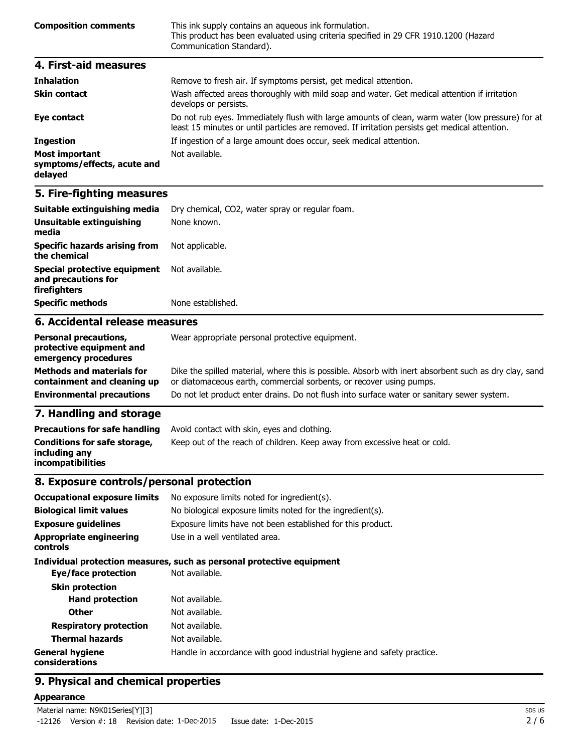| <b>Composition comments</b> | This ink supply contains an aqueous ink formulation.<br>This product has been evaluated using criteria specified in 29 CFR 1910.1200 (Hazard<br>Communication Standard). |
|-----------------------------|--------------------------------------------------------------------------------------------------------------------------------------------------------------------------|
| 4. First-aid measures       |                                                                                                                                                                          |

| <b>Inhalation</b>                                               | Remove to fresh air. If symptoms persist, get medical attention.                                                                                                                                   |
|-----------------------------------------------------------------|----------------------------------------------------------------------------------------------------------------------------------------------------------------------------------------------------|
| <b>Skin contact</b>                                             | Wash affected areas thoroughly with mild soap and water. Get medical attention if irritation<br>develops or persists.                                                                              |
| Eye contact                                                     | Do not rub eyes. Immediately flush with large amounts of clean, warm water (low pressure) for at<br>least 15 minutes or until particles are removed. If irritation persists get medical attention. |
| <b>Ingestion</b>                                                | If ingestion of a large amount does occur, seek medical attention.                                                                                                                                 |
| <b>Most important</b><br>symptoms/effects, acute and<br>delayed | Not available.                                                                                                                                                                                     |

### **5. Fire-fighting measures**

| Suitable extinguishing media                                               | Dry chemical, CO2, water spray or regular foam. |  |
|----------------------------------------------------------------------------|-------------------------------------------------|--|
| Unsuitable extinguishing<br>media                                          | None known.                                     |  |
| <b>Specific hazards arising from</b><br>the chemical                       | Not applicable.                                 |  |
| <b>Special protective equipment</b><br>and precautions for<br>firefighters | Not available.                                  |  |
| <b>Specific methods</b>                                                    | None established.                               |  |
| 6. Accidental release measures                                             |                                                 |  |
| Derconal precautions                                                       | Wear appropriate personal protective equipment  |  |

#### **Personal precautions, protective equipment and emergency procedures** Wear appropriate personal protective equipment.

| <b>Methods and materials for</b> | Dike the spilled material, where this is possible. Absorb with inert absorbent such as dry clay, sand |
|----------------------------------|-------------------------------------------------------------------------------------------------------|
| containment and cleaning up      | or diatomaceous earth, commercial sorbents, or recover using pumps.                                   |
| <b>Environmental precautions</b> | Do not let product enter drains. Do not flush into surface water or sanitary sewer system.            |

### **7. Handling and storage**

| <b>Precautions for safe handling</b>                                      | Avoid contact with skin, eyes and clothing.                               |
|---------------------------------------------------------------------------|---------------------------------------------------------------------------|
| Conditions for safe storage,<br>including any<br><b>incompatibilities</b> | Keep out of the reach of children. Keep away from excessive heat or cold. |

### **8. Exposure controls/personal protection**

| <b>Occupational exposure limits</b>        | No exposure limits noted for ingredient(s).                            |
|--------------------------------------------|------------------------------------------------------------------------|
| <b>Biological limit values</b>             | No biological exposure limits noted for the ingredient(s).             |
| <b>Exposure guidelines</b>                 | Exposure limits have not been established for this product.            |
| <b>Appropriate engineering</b><br>controls | Use in a well ventilated area.                                         |
|                                            | Individual protection measures, such as personal protective equipment  |
| Eye/face protection                        | Not available.                                                         |
| <b>Skin protection</b>                     |                                                                        |
| <b>Hand protection</b>                     | Not available.                                                         |
| <b>Other</b>                               | Not available.                                                         |
| <b>Respiratory protection</b>              | Not available.                                                         |
| <b>Thermal hazards</b>                     | Not available.                                                         |
| <b>General hygiene</b><br>considerations   | Handle in accordance with good industrial hygiene and safety practice. |

### **9. Physical and chemical properties**

#### **Appearance**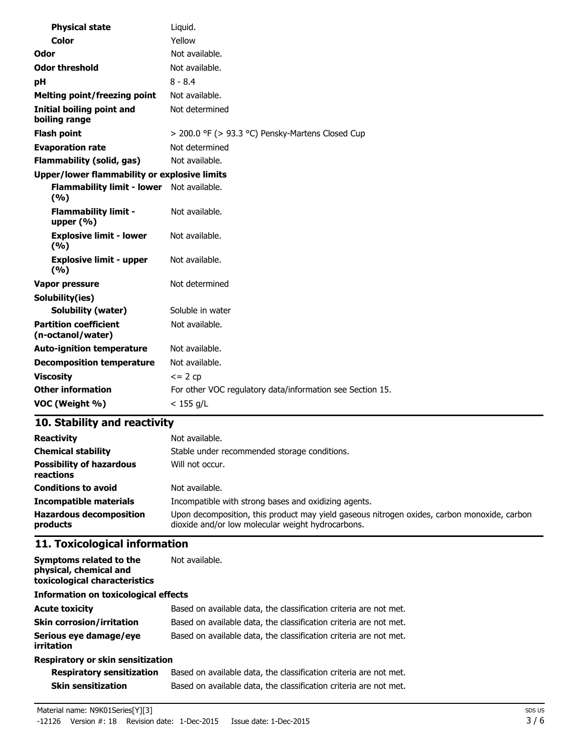| <b>Physical state</b>                               | Liquid.                                                   |
|-----------------------------------------------------|-----------------------------------------------------------|
| Color                                               | Yellow                                                    |
| Odor                                                | Not available.                                            |
| <b>Odor threshold</b>                               | Not available.                                            |
| рH                                                  | $8 - 8.4$                                                 |
| <b>Melting point/freezing point</b>                 | Not available.                                            |
| <b>Initial boiling point and</b><br>boiling range   | Not determined                                            |
| <b>Flash point</b>                                  | > 200.0 °F (> 93.3 °C) Pensky-Martens Closed Cup          |
| <b>Evaporation rate</b>                             | Not determined                                            |
| <b>Flammability (solid, gas)</b>                    | Not available.                                            |
| <b>Upper/lower flammability or explosive limits</b> |                                                           |
| <b>Flammability limit - lower</b><br>(%)            | Not available.                                            |
| <b>Flammability limit -</b><br>upper $(% )$         | Not available.                                            |
| <b>Explosive limit - lower</b><br>(%)               | Not available.                                            |
| <b>Explosive limit - upper</b><br>(9/6)             | Not available.                                            |
| <b>Vapor pressure</b>                               | Not determined                                            |
| Solubility(ies)                                     |                                                           |
| <b>Solubility (water)</b>                           | Soluble in water                                          |
| <b>Partition coefficient</b><br>(n-octanol/water)   | Not available.                                            |
| <b>Auto-ignition temperature</b>                    | Not available.                                            |
| <b>Decomposition temperature</b>                    | Not available.                                            |
| <b>Viscosity</b>                                    | $\leq$ 2 cp                                               |
| <b>Other information</b>                            | For other VOC regulatory data/information see Section 15. |
| VOC (Weight %)                                      | $< 155$ g/L                                               |

## **10. Stability and reactivity**

| <b>Reactivity</b>                            | Not available.                                                                                                                                   |
|----------------------------------------------|--------------------------------------------------------------------------------------------------------------------------------------------------|
| <b>Chemical stability</b>                    | Stable under recommended storage conditions.                                                                                                     |
| <b>Possibility of hazardous</b><br>reactions | Will not occur.                                                                                                                                  |
| <b>Conditions to avoid</b>                   | Not available.                                                                                                                                   |
| <b>Incompatible materials</b>                | Incompatible with strong bases and oxidizing agents.                                                                                             |
| <b>Hazardous decomposition</b><br>products   | Upon decomposition, this product may yield gaseous nitrogen oxides, carbon monoxide, carbon<br>dioxide and/or low molecular weight hydrocarbons. |

## **11. Toxicological information**

| Symptoms related to the<br>physical, chemical and<br>toxicological characteristics | Not available.                                                    |
|------------------------------------------------------------------------------------|-------------------------------------------------------------------|
| <b>Information on toxicological effects</b>                                        |                                                                   |
| <b>Acute toxicity</b>                                                              | Based on available data, the classification criteria are not met. |
| <b>Skin corrosion/irritation</b>                                                   | Based on available data, the classification criteria are not met. |
| Serious eye damage/eye<br>irritation                                               | Based on available data, the classification criteria are not met. |
| <b>Respiratory or skin sensitization</b>                                           |                                                                   |

### **Respiratory or skin sensitization**

| <b>Respiratory sensitization</b> | Based on available data, the classification criteria are not met. |
|----------------------------------|-------------------------------------------------------------------|
| <b>Skin sensitization</b>        | Based on available data, the classification criteria are not met. |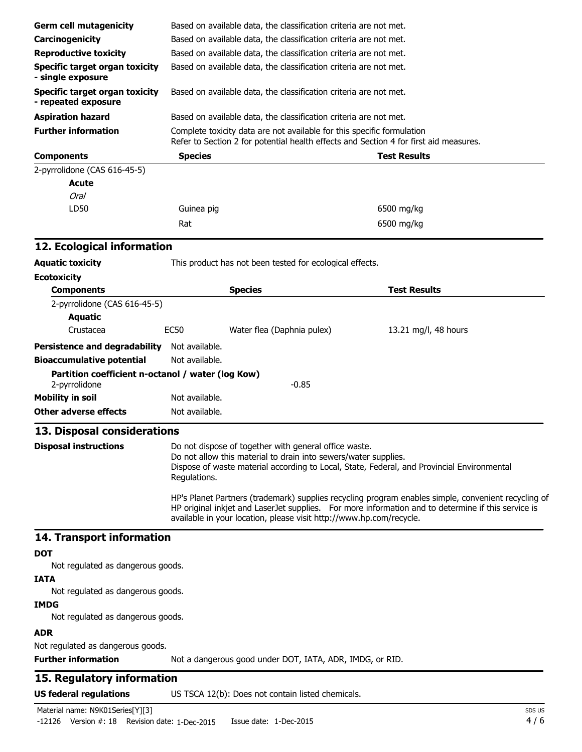| <b>Germ cell mutagenicity</b>                                      | Based on available data, the classification criteria are not met.                                                                                                                                                                                                                |                                                                                                                          |                                                                                                                                                                                                           |  |
|--------------------------------------------------------------------|----------------------------------------------------------------------------------------------------------------------------------------------------------------------------------------------------------------------------------------------------------------------------------|--------------------------------------------------------------------------------------------------------------------------|-----------------------------------------------------------------------------------------------------------------------------------------------------------------------------------------------------------|--|
| Carcinogenicity                                                    | Based on available data, the classification criteria are not met.<br>Based on available data, the classification criteria are not met.<br>Based on available data, the classification criteria are not met.<br>Based on available data, the classification criteria are not met. |                                                                                                                          |                                                                                                                                                                                                           |  |
| <b>Reproductive toxicity</b>                                       |                                                                                                                                                                                                                                                                                  |                                                                                                                          |                                                                                                                                                                                                           |  |
| Specific target organ toxicity<br>- single exposure                |                                                                                                                                                                                                                                                                                  |                                                                                                                          |                                                                                                                                                                                                           |  |
| <b>Specific target organ toxicity</b><br>- repeated exposure       |                                                                                                                                                                                                                                                                                  |                                                                                                                          |                                                                                                                                                                                                           |  |
| <b>Aspiration hazard</b>                                           |                                                                                                                                                                                                                                                                                  | Based on available data, the classification criteria are not met.                                                        |                                                                                                                                                                                                           |  |
| <b>Further information</b>                                         | Complete toxicity data are not available for this specific formulation<br>Refer to Section 2 for potential health effects and Section 4 for first aid measures.                                                                                                                  |                                                                                                                          |                                                                                                                                                                                                           |  |
| <b>Components</b>                                                  | <b>Species</b>                                                                                                                                                                                                                                                                   |                                                                                                                          | <b>Test Results</b>                                                                                                                                                                                       |  |
| 2-pyrrolidone (CAS 616-45-5)                                       |                                                                                                                                                                                                                                                                                  |                                                                                                                          |                                                                                                                                                                                                           |  |
| Acute                                                              |                                                                                                                                                                                                                                                                                  |                                                                                                                          |                                                                                                                                                                                                           |  |
| <b>Oral</b>                                                        |                                                                                                                                                                                                                                                                                  |                                                                                                                          |                                                                                                                                                                                                           |  |
| LD50                                                               | Guinea pig                                                                                                                                                                                                                                                                       |                                                                                                                          | 6500 mg/kg                                                                                                                                                                                                |  |
|                                                                    | Rat                                                                                                                                                                                                                                                                              |                                                                                                                          | 6500 mg/kg                                                                                                                                                                                                |  |
| 12. Ecological information                                         |                                                                                                                                                                                                                                                                                  |                                                                                                                          |                                                                                                                                                                                                           |  |
| <b>Aquatic toxicity</b>                                            |                                                                                                                                                                                                                                                                                  | This product has not been tested for ecological effects.                                                                 |                                                                                                                                                                                                           |  |
| <b>Ecotoxicity</b>                                                 |                                                                                                                                                                                                                                                                                  |                                                                                                                          |                                                                                                                                                                                                           |  |
| <b>Components</b>                                                  |                                                                                                                                                                                                                                                                                  | <b>Species</b>                                                                                                           | <b>Test Results</b>                                                                                                                                                                                       |  |
| 2-pyrrolidone (CAS 616-45-5)<br><b>Aquatic</b>                     |                                                                                                                                                                                                                                                                                  |                                                                                                                          |                                                                                                                                                                                                           |  |
| Crustacea                                                          | <b>EC50</b>                                                                                                                                                                                                                                                                      | Water flea (Daphnia pulex)                                                                                               | 13.21 mg/l, 48 hours                                                                                                                                                                                      |  |
| <b>Persistence and degradability</b>                               | Not available.                                                                                                                                                                                                                                                                   |                                                                                                                          |                                                                                                                                                                                                           |  |
| <b>Bioaccumulative potential</b>                                   | Not available.                                                                                                                                                                                                                                                                   |                                                                                                                          |                                                                                                                                                                                                           |  |
| Partition coefficient n-octanol / water (log Kow)<br>2-pyrrolidone |                                                                                                                                                                                                                                                                                  | $-0.85$                                                                                                                  |                                                                                                                                                                                                           |  |
| <b>Mobility in soil</b>                                            | Not available.                                                                                                                                                                                                                                                                   |                                                                                                                          |                                                                                                                                                                                                           |  |
| Other adverse effects                                              | Not available.                                                                                                                                                                                                                                                                   |                                                                                                                          |                                                                                                                                                                                                           |  |
| 13. Disposal considerations                                        |                                                                                                                                                                                                                                                                                  |                                                                                                                          |                                                                                                                                                                                                           |  |
| <b>Disposal instructions</b>                                       | Regulations.                                                                                                                                                                                                                                                                     | Do not dispose of together with general office waste.<br>Do not allow this material to drain into sewers/water supplies. | Dispose of waste material according to Local, State, Federal, and Provincial Environmental                                                                                                                |  |
|                                                                    |                                                                                                                                                                                                                                                                                  | available in your location, please visit http://www.hp.com/recycle.                                                      | HP's Planet Partners (trademark) supplies recycling program enables simple, convenient recycling of<br>HP original inkjet and LaserJet supplies. For more information and to determine if this service is |  |
| 14. Transport information                                          |                                                                                                                                                                                                                                                                                  |                                                                                                                          |                                                                                                                                                                                                           |  |
| <b>DOT</b>                                                         |                                                                                                                                                                                                                                                                                  |                                                                                                                          |                                                                                                                                                                                                           |  |
| Not regulated as dangerous goods.                                  |                                                                                                                                                                                                                                                                                  |                                                                                                                          |                                                                                                                                                                                                           |  |
| <b>IATA</b>                                                        |                                                                                                                                                                                                                                                                                  |                                                                                                                          |                                                                                                                                                                                                           |  |
| Not regulated as dangerous goods.                                  |                                                                                                                                                                                                                                                                                  |                                                                                                                          |                                                                                                                                                                                                           |  |
| <b>IMDG</b><br>Not regulated as dangerous goods.                   |                                                                                                                                                                                                                                                                                  |                                                                                                                          |                                                                                                                                                                                                           |  |
| <b>ADR</b>                                                         |                                                                                                                                                                                                                                                                                  |                                                                                                                          |                                                                                                                                                                                                           |  |
| Not regulated as dangerous goods.<br><b>Further information</b>    |                                                                                                                                                                                                                                                                                  | Not a dangerous good under DOT, IATA, ADR, IMDG, or RID.                                                                 |                                                                                                                                                                                                           |  |
| 15. Regulatory information                                         |                                                                                                                                                                                                                                                                                  |                                                                                                                          |                                                                                                                                                                                                           |  |
| <b>US federal regulations</b>                                      |                                                                                                                                                                                                                                                                                  | US TSCA 12(b): Does not contain listed chemicals.                                                                        |                                                                                                                                                                                                           |  |
|                                                                    |                                                                                                                                                                                                                                                                                  |                                                                                                                          |                                                                                                                                                                                                           |  |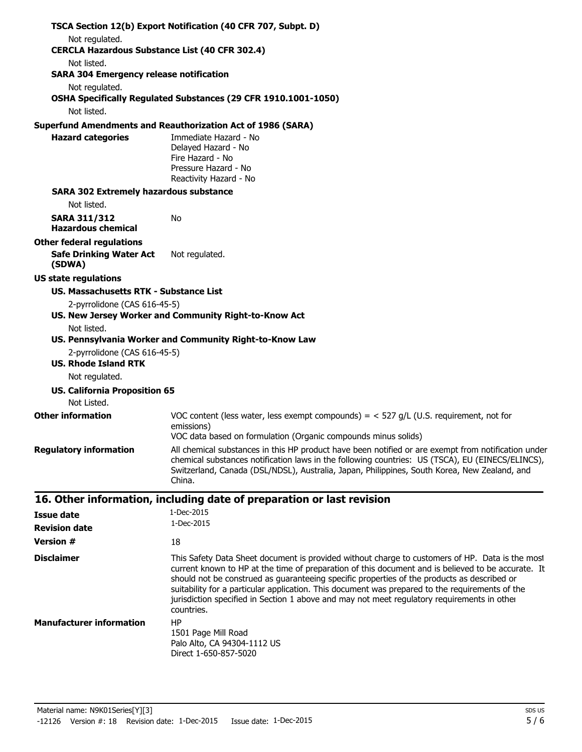| Not regulated.<br><b>CERCLA Hazardous Substance List (40 CFR 302.4)</b><br>Not listed.<br><b>SARA 304 Emergency release notification</b><br>Not regulated.<br>OSHA Specifically Regulated Substances (29 CFR 1910.1001-1050)<br>Not listed.<br><b>Superfund Amendments and Reauthorization Act of 1986 (SARA)</b><br><b>Hazard categories</b><br>Immediate Hazard - No<br>Delayed Hazard - No<br>Fire Hazard - No<br>Pressure Hazard - No<br>Reactivity Hazard - No<br><b>SARA 302 Extremely hazardous substance</b><br>Not listed.<br><b>SARA 311/312</b><br>No<br><b>Hazardous chemical</b><br><b>Other federal regulations</b><br><b>Safe Drinking Water Act</b><br>Not regulated.<br>(SDWA)<br><b>US state regulations</b><br><b>US. Massachusetts RTK - Substance List</b><br>2-pyrrolidone (CAS 616-45-5)<br>US. New Jersey Worker and Community Right-to-Know Act<br>Not listed.<br>US. Pennsylvania Worker and Community Right-to-Know Law<br>2-pyrrolidone (CAS 616-45-5)<br><b>US. Rhode Island RTK</b><br>Not regulated.<br><b>US. California Proposition 65</b><br>Not Listed.<br><b>Other information</b><br>VOC content (less water, less exempt compounds) = $<$ 527 g/L (U.S. requirement, not for<br>emissions)<br>VOC data based on formulation (Organic compounds minus solids)<br><b>Regulatory information</b><br>All chemical substances in this HP product have been notified or are exempt from notification under<br>chemical substances notification laws in the following countries: US (TSCA), EU (EINECS/ELINCS),<br>Switzerland, Canada (DSL/NDSL), Australia, Japan, Philippines, South Korea, New Zealand, and<br>China.<br>16. Other information, including date of preparation or last revision<br>1-Dec-2015<br><b>Issue date</b><br>1-Dec-2015<br><b>Revision date</b><br><b>Version #</b><br>18<br><b>Disclaimer</b><br>This Safety Data Sheet document is provided without charge to customers of HP. Data is the most<br>current known to HP at the time of preparation of this document and is believed to be accurate. It<br>should not be construed as guaranteeing specific properties of the products as described or<br>suitability for a particular application. This document was prepared to the requirements of the<br>jurisdiction specified in Section 1 above and may not meet regulatory requirements in other<br>countries.<br><b>Manufacturer information</b><br><b>HP</b><br>1501 Page Mill Road<br>Palo Alto, CA 94304-1112 US<br>Direct 1-650-857-5020<br>Material name: N9K01Series[Y][3]<br>SDS US<br>5/6<br>$-12126$ Version $\#$ : 18 Revision date: 1-Dec-2015<br>Issue date: 1-Dec-2015 | TSCA Section 12(b) Export Notification (40 CFR 707, Subpt. D) |
|---------------------------------------------------------------------------------------------------------------------------------------------------------------------------------------------------------------------------------------------------------------------------------------------------------------------------------------------------------------------------------------------------------------------------------------------------------------------------------------------------------------------------------------------------------------------------------------------------------------------------------------------------------------------------------------------------------------------------------------------------------------------------------------------------------------------------------------------------------------------------------------------------------------------------------------------------------------------------------------------------------------------------------------------------------------------------------------------------------------------------------------------------------------------------------------------------------------------------------------------------------------------------------------------------------------------------------------------------------------------------------------------------------------------------------------------------------------------------------------------------------------------------------------------------------------------------------------------------------------------------------------------------------------------------------------------------------------------------------------------------------------------------------------------------------------------------------------------------------------------------------------------------------------------------------------------------------------------------------------------------------------------------------------------------------------------------------------------------------------------------------------------------------------------------------------------------------------------------------------------------------------------------------------------------------------------------------------------------------------------------------------------------------------------------------------------------------------------------------------------------------------------------------------------------------------------------------------------------------------------------------------------------------|---------------------------------------------------------------|
|                                                                                                                                                                                                                                                                                                                                                                                                                                                                                                                                                                                                                                                                                                                                                                                                                                                                                                                                                                                                                                                                                                                                                                                                                                                                                                                                                                                                                                                                                                                                                                                                                                                                                                                                                                                                                                                                                                                                                                                                                                                                                                                                                                                                                                                                                                                                                                                                                                                                                                                                                                                                                                                         |                                                               |
|                                                                                                                                                                                                                                                                                                                                                                                                                                                                                                                                                                                                                                                                                                                                                                                                                                                                                                                                                                                                                                                                                                                                                                                                                                                                                                                                                                                                                                                                                                                                                                                                                                                                                                                                                                                                                                                                                                                                                                                                                                                                                                                                                                                                                                                                                                                                                                                                                                                                                                                                                                                                                                                         |                                                               |
|                                                                                                                                                                                                                                                                                                                                                                                                                                                                                                                                                                                                                                                                                                                                                                                                                                                                                                                                                                                                                                                                                                                                                                                                                                                                                                                                                                                                                                                                                                                                                                                                                                                                                                                                                                                                                                                                                                                                                                                                                                                                                                                                                                                                                                                                                                                                                                                                                                                                                                                                                                                                                                                         |                                                               |
|                                                                                                                                                                                                                                                                                                                                                                                                                                                                                                                                                                                                                                                                                                                                                                                                                                                                                                                                                                                                                                                                                                                                                                                                                                                                                                                                                                                                                                                                                                                                                                                                                                                                                                                                                                                                                                                                                                                                                                                                                                                                                                                                                                                                                                                                                                                                                                                                                                                                                                                                                                                                                                                         |                                                               |
|                                                                                                                                                                                                                                                                                                                                                                                                                                                                                                                                                                                                                                                                                                                                                                                                                                                                                                                                                                                                                                                                                                                                                                                                                                                                                                                                                                                                                                                                                                                                                                                                                                                                                                                                                                                                                                                                                                                                                                                                                                                                                                                                                                                                                                                                                                                                                                                                                                                                                                                                                                                                                                                         |                                                               |
|                                                                                                                                                                                                                                                                                                                                                                                                                                                                                                                                                                                                                                                                                                                                                                                                                                                                                                                                                                                                                                                                                                                                                                                                                                                                                                                                                                                                                                                                                                                                                                                                                                                                                                                                                                                                                                                                                                                                                                                                                                                                                                                                                                                                                                                                                                                                                                                                                                                                                                                                                                                                                                                         |                                                               |
|                                                                                                                                                                                                                                                                                                                                                                                                                                                                                                                                                                                                                                                                                                                                                                                                                                                                                                                                                                                                                                                                                                                                                                                                                                                                                                                                                                                                                                                                                                                                                                                                                                                                                                                                                                                                                                                                                                                                                                                                                                                                                                                                                                                                                                                                                                                                                                                                                                                                                                                                                                                                                                                         |                                                               |
|                                                                                                                                                                                                                                                                                                                                                                                                                                                                                                                                                                                                                                                                                                                                                                                                                                                                                                                                                                                                                                                                                                                                                                                                                                                                                                                                                                                                                                                                                                                                                                                                                                                                                                                                                                                                                                                                                                                                                                                                                                                                                                                                                                                                                                                                                                                                                                                                                                                                                                                                                                                                                                                         |                                                               |
|                                                                                                                                                                                                                                                                                                                                                                                                                                                                                                                                                                                                                                                                                                                                                                                                                                                                                                                                                                                                                                                                                                                                                                                                                                                                                                                                                                                                                                                                                                                                                                                                                                                                                                                                                                                                                                                                                                                                                                                                                                                                                                                                                                                                                                                                                                                                                                                                                                                                                                                                                                                                                                                         |                                                               |
|                                                                                                                                                                                                                                                                                                                                                                                                                                                                                                                                                                                                                                                                                                                                                                                                                                                                                                                                                                                                                                                                                                                                                                                                                                                                                                                                                                                                                                                                                                                                                                                                                                                                                                                                                                                                                                                                                                                                                                                                                                                                                                                                                                                                                                                                                                                                                                                                                                                                                                                                                                                                                                                         |                                                               |
|                                                                                                                                                                                                                                                                                                                                                                                                                                                                                                                                                                                                                                                                                                                                                                                                                                                                                                                                                                                                                                                                                                                                                                                                                                                                                                                                                                                                                                                                                                                                                                                                                                                                                                                                                                                                                                                                                                                                                                                                                                                                                                                                                                                                                                                                                                                                                                                                                                                                                                                                                                                                                                                         |                                                               |
|                                                                                                                                                                                                                                                                                                                                                                                                                                                                                                                                                                                                                                                                                                                                                                                                                                                                                                                                                                                                                                                                                                                                                                                                                                                                                                                                                                                                                                                                                                                                                                                                                                                                                                                                                                                                                                                                                                                                                                                                                                                                                                                                                                                                                                                                                                                                                                                                                                                                                                                                                                                                                                                         |                                                               |
|                                                                                                                                                                                                                                                                                                                                                                                                                                                                                                                                                                                                                                                                                                                                                                                                                                                                                                                                                                                                                                                                                                                                                                                                                                                                                                                                                                                                                                                                                                                                                                                                                                                                                                                                                                                                                                                                                                                                                                                                                                                                                                                                                                                                                                                                                                                                                                                                                                                                                                                                                                                                                                                         |                                                               |
|                                                                                                                                                                                                                                                                                                                                                                                                                                                                                                                                                                                                                                                                                                                                                                                                                                                                                                                                                                                                                                                                                                                                                                                                                                                                                                                                                                                                                                                                                                                                                                                                                                                                                                                                                                                                                                                                                                                                                                                                                                                                                                                                                                                                                                                                                                                                                                                                                                                                                                                                                                                                                                                         |                                                               |
|                                                                                                                                                                                                                                                                                                                                                                                                                                                                                                                                                                                                                                                                                                                                                                                                                                                                                                                                                                                                                                                                                                                                                                                                                                                                                                                                                                                                                                                                                                                                                                                                                                                                                                                                                                                                                                                                                                                                                                                                                                                                                                                                                                                                                                                                                                                                                                                                                                                                                                                                                                                                                                                         |                                                               |
|                                                                                                                                                                                                                                                                                                                                                                                                                                                                                                                                                                                                                                                                                                                                                                                                                                                                                                                                                                                                                                                                                                                                                                                                                                                                                                                                                                                                                                                                                                                                                                                                                                                                                                                                                                                                                                                                                                                                                                                                                                                                                                                                                                                                                                                                                                                                                                                                                                                                                                                                                                                                                                                         |                                                               |
|                                                                                                                                                                                                                                                                                                                                                                                                                                                                                                                                                                                                                                                                                                                                                                                                                                                                                                                                                                                                                                                                                                                                                                                                                                                                                                                                                                                                                                                                                                                                                                                                                                                                                                                                                                                                                                                                                                                                                                                                                                                                                                                                                                                                                                                                                                                                                                                                                                                                                                                                                                                                                                                         |                                                               |
|                                                                                                                                                                                                                                                                                                                                                                                                                                                                                                                                                                                                                                                                                                                                                                                                                                                                                                                                                                                                                                                                                                                                                                                                                                                                                                                                                                                                                                                                                                                                                                                                                                                                                                                                                                                                                                                                                                                                                                                                                                                                                                                                                                                                                                                                                                                                                                                                                                                                                                                                                                                                                                                         |                                                               |
|                                                                                                                                                                                                                                                                                                                                                                                                                                                                                                                                                                                                                                                                                                                                                                                                                                                                                                                                                                                                                                                                                                                                                                                                                                                                                                                                                                                                                                                                                                                                                                                                                                                                                                                                                                                                                                                                                                                                                                                                                                                                                                                                                                                                                                                                                                                                                                                                                                                                                                                                                                                                                                                         |                                                               |
|                                                                                                                                                                                                                                                                                                                                                                                                                                                                                                                                                                                                                                                                                                                                                                                                                                                                                                                                                                                                                                                                                                                                                                                                                                                                                                                                                                                                                                                                                                                                                                                                                                                                                                                                                                                                                                                                                                                                                                                                                                                                                                                                                                                                                                                                                                                                                                                                                                                                                                                                                                                                                                                         |                                                               |
|                                                                                                                                                                                                                                                                                                                                                                                                                                                                                                                                                                                                                                                                                                                                                                                                                                                                                                                                                                                                                                                                                                                                                                                                                                                                                                                                                                                                                                                                                                                                                                                                                                                                                                                                                                                                                                                                                                                                                                                                                                                                                                                                                                                                                                                                                                                                                                                                                                                                                                                                                                                                                                                         |                                                               |
|                                                                                                                                                                                                                                                                                                                                                                                                                                                                                                                                                                                                                                                                                                                                                                                                                                                                                                                                                                                                                                                                                                                                                                                                                                                                                                                                                                                                                                                                                                                                                                                                                                                                                                                                                                                                                                                                                                                                                                                                                                                                                                                                                                                                                                                                                                                                                                                                                                                                                                                                                                                                                                                         |                                                               |
|                                                                                                                                                                                                                                                                                                                                                                                                                                                                                                                                                                                                                                                                                                                                                                                                                                                                                                                                                                                                                                                                                                                                                                                                                                                                                                                                                                                                                                                                                                                                                                                                                                                                                                                                                                                                                                                                                                                                                                                                                                                                                                                                                                                                                                                                                                                                                                                                                                                                                                                                                                                                                                                         |                                                               |
|                                                                                                                                                                                                                                                                                                                                                                                                                                                                                                                                                                                                                                                                                                                                                                                                                                                                                                                                                                                                                                                                                                                                                                                                                                                                                                                                                                                                                                                                                                                                                                                                                                                                                                                                                                                                                                                                                                                                                                                                                                                                                                                                                                                                                                                                                                                                                                                                                                                                                                                                                                                                                                                         |                                                               |
|                                                                                                                                                                                                                                                                                                                                                                                                                                                                                                                                                                                                                                                                                                                                                                                                                                                                                                                                                                                                                                                                                                                                                                                                                                                                                                                                                                                                                                                                                                                                                                                                                                                                                                                                                                                                                                                                                                                                                                                                                                                                                                                                                                                                                                                                                                                                                                                                                                                                                                                                                                                                                                                         |                                                               |
|                                                                                                                                                                                                                                                                                                                                                                                                                                                                                                                                                                                                                                                                                                                                                                                                                                                                                                                                                                                                                                                                                                                                                                                                                                                                                                                                                                                                                                                                                                                                                                                                                                                                                                                                                                                                                                                                                                                                                                                                                                                                                                                                                                                                                                                                                                                                                                                                                                                                                                                                                                                                                                                         |                                                               |
|                                                                                                                                                                                                                                                                                                                                                                                                                                                                                                                                                                                                                                                                                                                                                                                                                                                                                                                                                                                                                                                                                                                                                                                                                                                                                                                                                                                                                                                                                                                                                                                                                                                                                                                                                                                                                                                                                                                                                                                                                                                                                                                                                                                                                                                                                                                                                                                                                                                                                                                                                                                                                                                         |                                                               |
|                                                                                                                                                                                                                                                                                                                                                                                                                                                                                                                                                                                                                                                                                                                                                                                                                                                                                                                                                                                                                                                                                                                                                                                                                                                                                                                                                                                                                                                                                                                                                                                                                                                                                                                                                                                                                                                                                                                                                                                                                                                                                                                                                                                                                                                                                                                                                                                                                                                                                                                                                                                                                                                         |                                                               |
|                                                                                                                                                                                                                                                                                                                                                                                                                                                                                                                                                                                                                                                                                                                                                                                                                                                                                                                                                                                                                                                                                                                                                                                                                                                                                                                                                                                                                                                                                                                                                                                                                                                                                                                                                                                                                                                                                                                                                                                                                                                                                                                                                                                                                                                                                                                                                                                                                                                                                                                                                                                                                                                         |                                                               |
|                                                                                                                                                                                                                                                                                                                                                                                                                                                                                                                                                                                                                                                                                                                                                                                                                                                                                                                                                                                                                                                                                                                                                                                                                                                                                                                                                                                                                                                                                                                                                                                                                                                                                                                                                                                                                                                                                                                                                                                                                                                                                                                                                                                                                                                                                                                                                                                                                                                                                                                                                                                                                                                         |                                                               |
|                                                                                                                                                                                                                                                                                                                                                                                                                                                                                                                                                                                                                                                                                                                                                                                                                                                                                                                                                                                                                                                                                                                                                                                                                                                                                                                                                                                                                                                                                                                                                                                                                                                                                                                                                                                                                                                                                                                                                                                                                                                                                                                                                                                                                                                                                                                                                                                                                                                                                                                                                                                                                                                         |                                                               |
|                                                                                                                                                                                                                                                                                                                                                                                                                                                                                                                                                                                                                                                                                                                                                                                                                                                                                                                                                                                                                                                                                                                                                                                                                                                                                                                                                                                                                                                                                                                                                                                                                                                                                                                                                                                                                                                                                                                                                                                                                                                                                                                                                                                                                                                                                                                                                                                                                                                                                                                                                                                                                                                         |                                                               |
|                                                                                                                                                                                                                                                                                                                                                                                                                                                                                                                                                                                                                                                                                                                                                                                                                                                                                                                                                                                                                                                                                                                                                                                                                                                                                                                                                                                                                                                                                                                                                                                                                                                                                                                                                                                                                                                                                                                                                                                                                                                                                                                                                                                                                                                                                                                                                                                                                                                                                                                                                                                                                                                         |                                                               |
|                                                                                                                                                                                                                                                                                                                                                                                                                                                                                                                                                                                                                                                                                                                                                                                                                                                                                                                                                                                                                                                                                                                                                                                                                                                                                                                                                                                                                                                                                                                                                                                                                                                                                                                                                                                                                                                                                                                                                                                                                                                                                                                                                                                                                                                                                                                                                                                                                                                                                                                                                                                                                                                         |                                                               |
|                                                                                                                                                                                                                                                                                                                                                                                                                                                                                                                                                                                                                                                                                                                                                                                                                                                                                                                                                                                                                                                                                                                                                                                                                                                                                                                                                                                                                                                                                                                                                                                                                                                                                                                                                                                                                                                                                                                                                                                                                                                                                                                                                                                                                                                                                                                                                                                                                                                                                                                                                                                                                                                         |                                                               |
|                                                                                                                                                                                                                                                                                                                                                                                                                                                                                                                                                                                                                                                                                                                                                                                                                                                                                                                                                                                                                                                                                                                                                                                                                                                                                                                                                                                                                                                                                                                                                                                                                                                                                                                                                                                                                                                                                                                                                                                                                                                                                                                                                                                                                                                                                                                                                                                                                                                                                                                                                                                                                                                         |                                                               |
|                                                                                                                                                                                                                                                                                                                                                                                                                                                                                                                                                                                                                                                                                                                                                                                                                                                                                                                                                                                                                                                                                                                                                                                                                                                                                                                                                                                                                                                                                                                                                                                                                                                                                                                                                                                                                                                                                                                                                                                                                                                                                                                                                                                                                                                                                                                                                                                                                                                                                                                                                                                                                                                         |                                                               |
|                                                                                                                                                                                                                                                                                                                                                                                                                                                                                                                                                                                                                                                                                                                                                                                                                                                                                                                                                                                                                                                                                                                                                                                                                                                                                                                                                                                                                                                                                                                                                                                                                                                                                                                                                                                                                                                                                                                                                                                                                                                                                                                                                                                                                                                                                                                                                                                                                                                                                                                                                                                                                                                         |                                                               |
|                                                                                                                                                                                                                                                                                                                                                                                                                                                                                                                                                                                                                                                                                                                                                                                                                                                                                                                                                                                                                                                                                                                                                                                                                                                                                                                                                                                                                                                                                                                                                                                                                                                                                                                                                                                                                                                                                                                                                                                                                                                                                                                                                                                                                                                                                                                                                                                                                                                                                                                                                                                                                                                         |                                                               |
|                                                                                                                                                                                                                                                                                                                                                                                                                                                                                                                                                                                                                                                                                                                                                                                                                                                                                                                                                                                                                                                                                                                                                                                                                                                                                                                                                                                                                                                                                                                                                                                                                                                                                                                                                                                                                                                                                                                                                                                                                                                                                                                                                                                                                                                                                                                                                                                                                                                                                                                                                                                                                                                         |                                                               |
|                                                                                                                                                                                                                                                                                                                                                                                                                                                                                                                                                                                                                                                                                                                                                                                                                                                                                                                                                                                                                                                                                                                                                                                                                                                                                                                                                                                                                                                                                                                                                                                                                                                                                                                                                                                                                                                                                                                                                                                                                                                                                                                                                                                                                                                                                                                                                                                                                                                                                                                                                                                                                                                         |                                                               |
|                                                                                                                                                                                                                                                                                                                                                                                                                                                                                                                                                                                                                                                                                                                                                                                                                                                                                                                                                                                                                                                                                                                                                                                                                                                                                                                                                                                                                                                                                                                                                                                                                                                                                                                                                                                                                                                                                                                                                                                                                                                                                                                                                                                                                                                                                                                                                                                                                                                                                                                                                                                                                                                         |                                                               |
|                                                                                                                                                                                                                                                                                                                                                                                                                                                                                                                                                                                                                                                                                                                                                                                                                                                                                                                                                                                                                                                                                                                                                                                                                                                                                                                                                                                                                                                                                                                                                                                                                                                                                                                                                                                                                                                                                                                                                                                                                                                                                                                                                                                                                                                                                                                                                                                                                                                                                                                                                                                                                                                         |                                                               |
|                                                                                                                                                                                                                                                                                                                                                                                                                                                                                                                                                                                                                                                                                                                                                                                                                                                                                                                                                                                                                                                                                                                                                                                                                                                                                                                                                                                                                                                                                                                                                                                                                                                                                                                                                                                                                                                                                                                                                                                                                                                                                                                                                                                                                                                                                                                                                                                                                                                                                                                                                                                                                                                         |                                                               |
|                                                                                                                                                                                                                                                                                                                                                                                                                                                                                                                                                                                                                                                                                                                                                                                                                                                                                                                                                                                                                                                                                                                                                                                                                                                                                                                                                                                                                                                                                                                                                                                                                                                                                                                                                                                                                                                                                                                                                                                                                                                                                                                                                                                                                                                                                                                                                                                                                                                                                                                                                                                                                                                         |                                                               |
|                                                                                                                                                                                                                                                                                                                                                                                                                                                                                                                                                                                                                                                                                                                                                                                                                                                                                                                                                                                                                                                                                                                                                                                                                                                                                                                                                                                                                                                                                                                                                                                                                                                                                                                                                                                                                                                                                                                                                                                                                                                                                                                                                                                                                                                                                                                                                                                                                                                                                                                                                                                                                                                         |                                                               |
|                                                                                                                                                                                                                                                                                                                                                                                                                                                                                                                                                                                                                                                                                                                                                                                                                                                                                                                                                                                                                                                                                                                                                                                                                                                                                                                                                                                                                                                                                                                                                                                                                                                                                                                                                                                                                                                                                                                                                                                                                                                                                                                                                                                                                                                                                                                                                                                                                                                                                                                                                                                                                                                         |                                                               |
|                                                                                                                                                                                                                                                                                                                                                                                                                                                                                                                                                                                                                                                                                                                                                                                                                                                                                                                                                                                                                                                                                                                                                                                                                                                                                                                                                                                                                                                                                                                                                                                                                                                                                                                                                                                                                                                                                                                                                                                                                                                                                                                                                                                                                                                                                                                                                                                                                                                                                                                                                                                                                                                         |                                                               |
|                                                                                                                                                                                                                                                                                                                                                                                                                                                                                                                                                                                                                                                                                                                                                                                                                                                                                                                                                                                                                                                                                                                                                                                                                                                                                                                                                                                                                                                                                                                                                                                                                                                                                                                                                                                                                                                                                                                                                                                                                                                                                                                                                                                                                                                                                                                                                                                                                                                                                                                                                                                                                                                         |                                                               |
|                                                                                                                                                                                                                                                                                                                                                                                                                                                                                                                                                                                                                                                                                                                                                                                                                                                                                                                                                                                                                                                                                                                                                                                                                                                                                                                                                                                                                                                                                                                                                                                                                                                                                                                                                                                                                                                                                                                                                                                                                                                                                                                                                                                                                                                                                                                                                                                                                                                                                                                                                                                                                                                         |                                                               |
|                                                                                                                                                                                                                                                                                                                                                                                                                                                                                                                                                                                                                                                                                                                                                                                                                                                                                                                                                                                                                                                                                                                                                                                                                                                                                                                                                                                                                                                                                                                                                                                                                                                                                                                                                                                                                                                                                                                                                                                                                                                                                                                                                                                                                                                                                                                                                                                                                                                                                                                                                                                                                                                         |                                                               |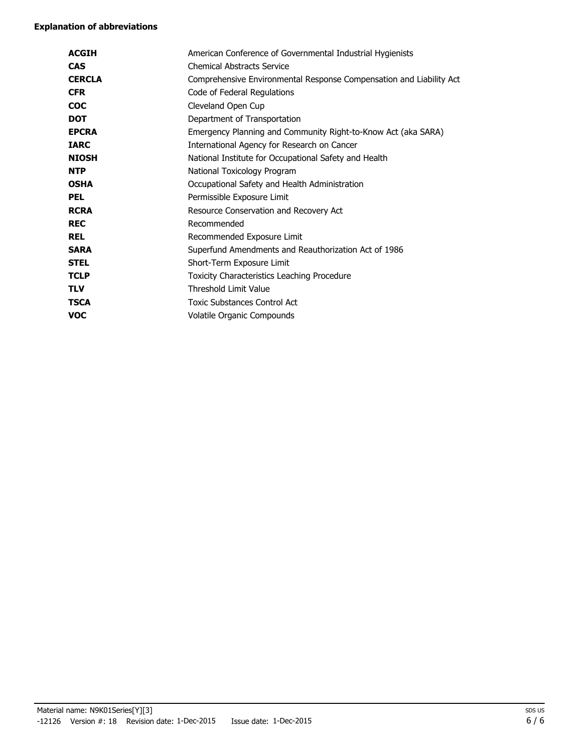#### **Explanation of abbreviations**

| <b>ACGIH</b>  | American Conference of Governmental Industrial Hygienists           |
|---------------|---------------------------------------------------------------------|
| <b>CAS</b>    | <b>Chemical Abstracts Service</b>                                   |
| <b>CERCLA</b> | Comprehensive Environmental Response Compensation and Liability Act |
| <b>CFR</b>    | Code of Federal Regulations                                         |
| <b>COC</b>    | Cleveland Open Cup                                                  |
| <b>DOT</b>    | Department of Transportation                                        |
| <b>EPCRA</b>  | Emergency Planning and Community Right-to-Know Act (aka SARA)       |
| <b>IARC</b>   | International Agency for Research on Cancer                         |
| <b>NIOSH</b>  | National Institute for Occupational Safety and Health               |
| <b>NTP</b>    | National Toxicology Program                                         |
| <b>OSHA</b>   | Occupational Safety and Health Administration                       |
| <b>PEL</b>    | Permissible Exposure Limit                                          |
| <b>RCRA</b>   | Resource Conservation and Recovery Act                              |
| <b>REC</b>    | Recommended                                                         |
| <b>REL</b>    | Recommended Exposure Limit                                          |
| <b>SARA</b>   | Superfund Amendments and Reauthorization Act of 1986                |
| <b>STEL</b>   | Short-Term Exposure Limit                                           |
| <b>TCLP</b>   | Toxicity Characteristics Leaching Procedure                         |
| <b>TLV</b>    | Threshold Limit Value                                               |
| <b>TSCA</b>   | <b>Toxic Substances Control Act</b>                                 |
| VOC           | Volatile Organic Compounds                                          |
|               |                                                                     |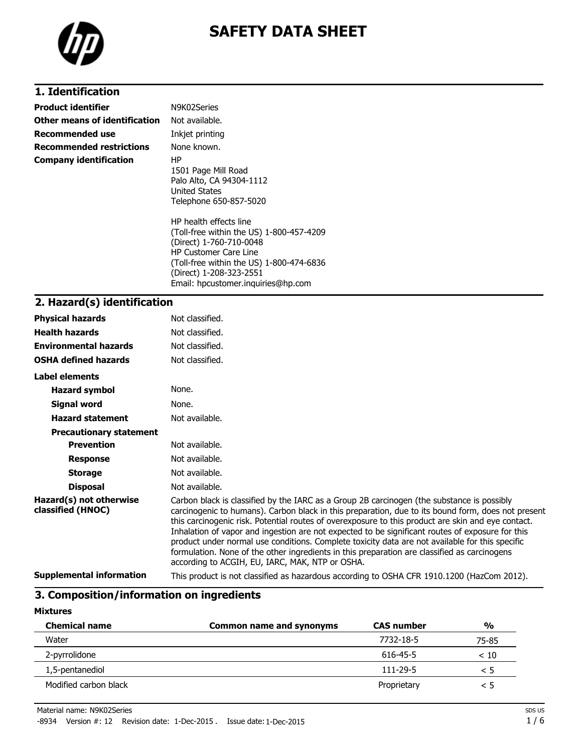

### **1. Identification**

| <b>Product identifier</b>       | N9K02Series                                                                                                                                                                                                                                                                                                                                    |
|---------------------------------|------------------------------------------------------------------------------------------------------------------------------------------------------------------------------------------------------------------------------------------------------------------------------------------------------------------------------------------------|
| Other means of identification   | Not available.                                                                                                                                                                                                                                                                                                                                 |
| <b>Recommended use</b>          | Inkjet printing                                                                                                                                                                                                                                                                                                                                |
| <b>Recommended restrictions</b> | None known.                                                                                                                                                                                                                                                                                                                                    |
| <b>Company identification</b>   | HP<br>1501 Page Mill Road<br>Palo Alto, CA 94304-1112<br>United States<br>Telephone 650-857-5020<br>HP health effects line<br>(Toll-free within the US) 1-800-457-4209<br>(Direct) 1-760-710-0048<br><b>HP Customer Care Line</b><br>(Toll-free within the US) 1-800-474-6836<br>(Direct) 1-208-323-2551<br>Email: hpcustomer.inquiries@hp.com |

### **2. Hazard(s) identification**

| <b>Physical hazards</b>                      | Not classified.                                                                                                                                                                                                                                                                                                                                                                                                                                                                                                                                                                                                                                                  |
|----------------------------------------------|------------------------------------------------------------------------------------------------------------------------------------------------------------------------------------------------------------------------------------------------------------------------------------------------------------------------------------------------------------------------------------------------------------------------------------------------------------------------------------------------------------------------------------------------------------------------------------------------------------------------------------------------------------------|
| <b>Health hazards</b>                        | Not classified.                                                                                                                                                                                                                                                                                                                                                                                                                                                                                                                                                                                                                                                  |
| <b>Environmental hazards</b>                 | Not classified.                                                                                                                                                                                                                                                                                                                                                                                                                                                                                                                                                                                                                                                  |
| <b>OSHA defined hazards</b>                  | Not classified.                                                                                                                                                                                                                                                                                                                                                                                                                                                                                                                                                                                                                                                  |
| Label elements                               |                                                                                                                                                                                                                                                                                                                                                                                                                                                                                                                                                                                                                                                                  |
| <b>Hazard symbol</b>                         | None.                                                                                                                                                                                                                                                                                                                                                                                                                                                                                                                                                                                                                                                            |
| Signal word                                  | None.                                                                                                                                                                                                                                                                                                                                                                                                                                                                                                                                                                                                                                                            |
| <b>Hazard statement</b>                      | Not available.                                                                                                                                                                                                                                                                                                                                                                                                                                                                                                                                                                                                                                                   |
| <b>Precautionary statement</b>               |                                                                                                                                                                                                                                                                                                                                                                                                                                                                                                                                                                                                                                                                  |
| <b>Prevention</b>                            | Not available.                                                                                                                                                                                                                                                                                                                                                                                                                                                                                                                                                                                                                                                   |
| <b>Response</b>                              | Not available.                                                                                                                                                                                                                                                                                                                                                                                                                                                                                                                                                                                                                                                   |
| <b>Storage</b>                               | Not available.                                                                                                                                                                                                                                                                                                                                                                                                                                                                                                                                                                                                                                                   |
| <b>Disposal</b>                              | Not available.                                                                                                                                                                                                                                                                                                                                                                                                                                                                                                                                                                                                                                                   |
| Hazard(s) not otherwise<br>classified (HNOC) | Carbon black is classified by the IARC as a Group 2B carcinogen (the substance is possibly<br>carcinogenic to humans). Carbon black in this preparation, due to its bound form, does not present<br>this carcinogenic risk. Potential routes of overexposure to this product are skin and eye contact.<br>Inhalation of vapor and ingestion are not expected to be significant routes of exposure for this<br>product under normal use conditions. Complete toxicity data are not available for this specific<br>formulation. None of the other ingredients in this preparation are classified as carcinogens<br>according to ACGIH, EU, IARC, MAK, NTP or OSHA. |
| <b>Supplemental information</b>              | This product is not classified as hazardous according to OSHA CFR 1910.1200 (HazCom 2012).                                                                                                                                                                                                                                                                                                                                                                                                                                                                                                                                                                       |

## **3. Composition/information on ingredients**

#### **Mixtures**

| <b>Chemical name</b>  | Common name and synonyms | <b>CAS number</b> | $\frac{0}{0}$ |
|-----------------------|--------------------------|-------------------|---------------|
| Water                 |                          | 7732-18-5         | 75-85         |
| 2-pyrrolidone         |                          | 616-45-5          | < 10          |
| 1,5-pentanediol       |                          | 111-29-5          | כ >           |
| Modified carbon black |                          | Proprietary       | ל >           |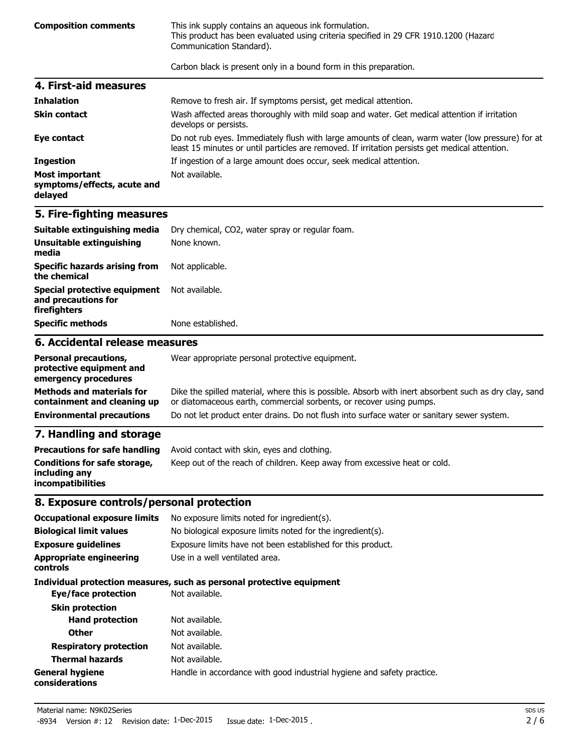**Composition comments** This ink supply contains an aqueous ink formulation. This product has been evaluated using criteria specified in 29 CFR 1910.1200 (Hazard Communication Standard).

Carbon black is present only in a bound form in this preparation.

| 4. First-aid measures                                    |                                                                                                                                                                                                    |
|----------------------------------------------------------|----------------------------------------------------------------------------------------------------------------------------------------------------------------------------------------------------|
| <b>Inhalation</b>                                        | Remove to fresh air. If symptoms persist, get medical attention.                                                                                                                                   |
| <b>Skin contact</b>                                      | Wash affected areas thoroughly with mild soap and water. Get medical attention if irritation<br>develops or persists.                                                                              |
| Eye contact                                              | Do not rub eyes. Immediately flush with large amounts of clean, warm water (low pressure) for at<br>least 15 minutes or until particles are removed. If irritation persists get medical attention. |
| <b>Ingestion</b>                                         | If ingestion of a large amount does occur, seek medical attention.                                                                                                                                 |
| Most important<br>symptoms/effects, acute and<br>delayed | Not available.                                                                                                                                                                                     |

#### **5. Fire-fighting measures**

| <b>Specific methods</b>                                             | None established.                               |
|---------------------------------------------------------------------|-------------------------------------------------|
| Special protective equipment<br>and precautions for<br>firefighters | Not available.                                  |
| <b>Specific hazards arising from</b><br>the chemical                | Not applicable.                                 |
| Unsuitable extinguishing<br>media                                   | None known.                                     |
| Suitable extinguishing media                                        | Dry chemical, CO2, water spray or regular foam. |

#### **6. Accidental release measures**

| <b>Personal precautions,</b><br>protective equipment and<br>emergency procedures | Wear appropriate personal protective equipment.                                                                                                                              |
|----------------------------------------------------------------------------------|------------------------------------------------------------------------------------------------------------------------------------------------------------------------------|
| <b>Methods and materials for</b><br>containment and cleaning up                  | Dike the spilled material, where this is possible. Absorb with inert absorbent such as dry clay, sand<br>or diatomaceous earth, commercial sorbents, or recover using pumps. |
| <b>Environmental precautions</b>                                                 | Do not let product enter drains. Do not flush into surface water or sanitary sewer system.                                                                                   |

### **7. Handling and storage**

|                                                                           | <b>Precautions for safe handling</b> Avoid contact with skin, eyes and clothing. |
|---------------------------------------------------------------------------|----------------------------------------------------------------------------------|
| Conditions for safe storage,<br>including any<br><i>incompatibilities</i> | Keep out of the reach of children. Keep away from excessive heat or cold.        |

### **8. Exposure controls/personal protection**

| <b>Occupational exposure limits</b><br><b>Biological limit values</b> | No exposure limits noted for ingredient(s).<br>No biological exposure limits noted for the ingredient(s). |
|-----------------------------------------------------------------------|-----------------------------------------------------------------------------------------------------------|
| <b>Exposure quidelines</b>                                            | Exposure limits have not been established for this product.                                               |
| <b>Appropriate engineering</b><br>controls                            | Use in a well ventilated area.                                                                            |
|                                                                       | Individual protection measures, such as personal protective equipment                                     |
| Eye/face protection                                                   | Not available.                                                                                            |
| <b>Skin protection</b>                                                |                                                                                                           |
| <b>Hand protection</b>                                                | Not available.                                                                                            |
| <b>Other</b>                                                          | Not available.                                                                                            |
| <b>Respiratory protection</b>                                         | Not available.                                                                                            |
| <b>Thermal hazards</b>                                                | Not available.                                                                                            |
| <b>General hygiene</b><br>considerations                              | Handle in accordance with good industrial hygiene and safety practice.                                    |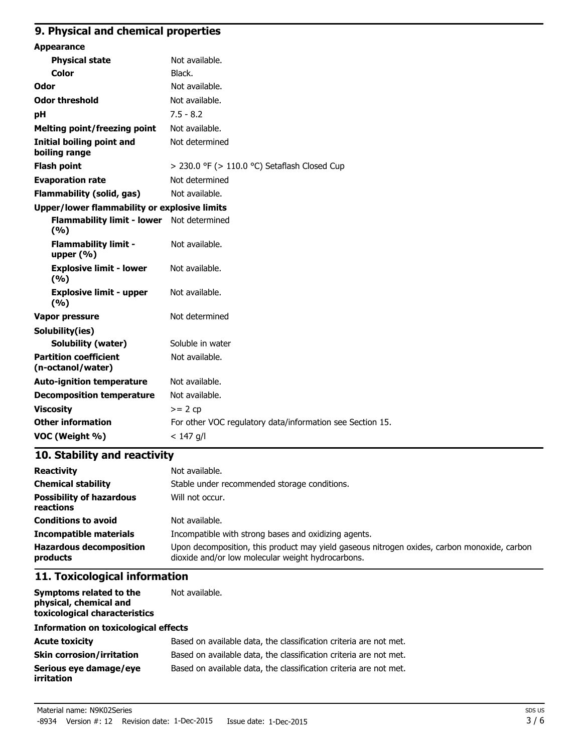#### **9. Physical and chemical properties**

| <b>Appearance</b>                                 |                                                           |
|---------------------------------------------------|-----------------------------------------------------------|
| <b>Physical state</b>                             | Not available.                                            |
| <b>Color</b>                                      | Black.                                                    |
| Odor                                              | Not available.                                            |
| <b>Odor threshold</b>                             | Not available.                                            |
| pH                                                | $7.5 - 8.2$                                               |
| <b>Melting point/freezing point</b>               | Not available.                                            |
| <b>Initial boiling point and</b><br>boiling range | Not determined                                            |
| <b>Flash point</b>                                | > 230.0 °F (> 110.0 °C) Setaflash Closed Cup              |
| <b>Evaporation rate</b>                           | Not determined                                            |
| <b>Flammability (solid, gas)</b>                  | Not available.                                            |
| Upper/lower flammability or explosive limits      |                                                           |
| <b>Flammability limit - lower</b><br>(%)          | Not determined                                            |
| <b>Flammability limit -</b><br>upper $(% )$       | Not available.                                            |
| <b>Explosive limit - lower</b><br>(9/6)           | Not available.                                            |
| <b>Explosive limit - upper</b><br>(9/6)           | Not available.                                            |
| <b>Vapor pressure</b>                             | Not determined                                            |
| Solubility(ies)                                   |                                                           |
| <b>Solubility (water)</b>                         | Soluble in water                                          |
| <b>Partition coefficient</b><br>(n-octanol/water) | Not available.                                            |
| <b>Auto-ignition temperature</b>                  | Not available.                                            |
| <b>Decomposition temperature</b>                  | Not available.                                            |
| <b>Viscosity</b>                                  | $>= 2 cp$                                                 |
| <b>Other information</b>                          | For other VOC regulatory data/information see Section 15. |
| VOC (Weight %)                                    | $< 147$ g/l                                               |

### **10. Stability and reactivity**

| <b>Reactivity</b>                            | Not available.                                                                                                                                   |
|----------------------------------------------|--------------------------------------------------------------------------------------------------------------------------------------------------|
| <b>Chemical stability</b>                    | Stable under recommended storage conditions.                                                                                                     |
| <b>Possibility of hazardous</b><br>reactions | Will not occur.                                                                                                                                  |
| <b>Conditions to avoid</b>                   | Not available.                                                                                                                                   |
| <b>Incompatible materials</b>                | Incompatible with strong bases and oxidizing agents.                                                                                             |
| <b>Hazardous decomposition</b><br>products   | Upon decomposition, this product may yield gaseous nitrogen oxides, carbon monoxide, carbon<br>dioxide and/or low molecular weight hydrocarbons. |

#### **11. Toxicological information**

**Symptoms related to the physical, chemical and toxicological characteristics** Not available.

#### **Information on toxicological effects**

| <b>Acute toxicity</b>                       | Based on available data, the classification criteria are not met. |
|---------------------------------------------|-------------------------------------------------------------------|
| <b>Skin corrosion/irritation</b>            | Based on available data, the classification criteria are not met. |
| Serious eve damage/eve<br><i>irritation</i> | Based on available data, the classification criteria are not met. |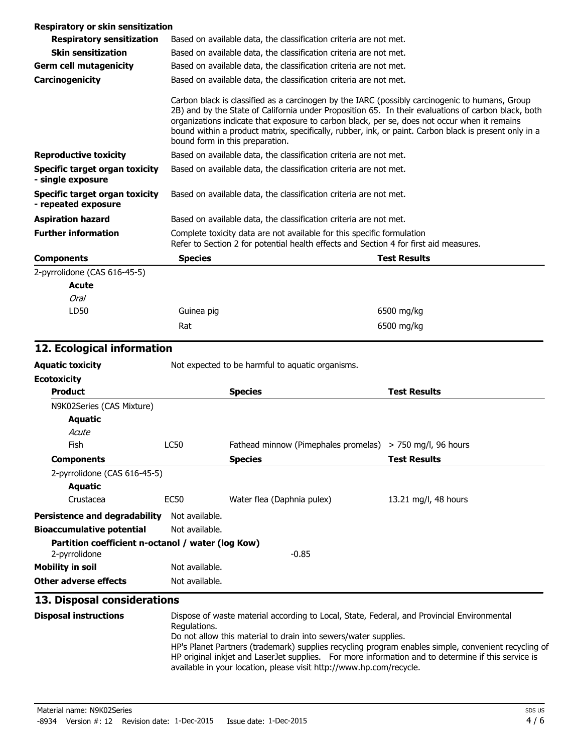#### **Respiratory or skin sensitization**

| <b>Respiratory sensitization</b>                             | Based on available data, the classification criteria are not met.                                                                                               |  |                                                                                                                                                                                                                                                                                                                                                                                                                |
|--------------------------------------------------------------|-----------------------------------------------------------------------------------------------------------------------------------------------------------------|--|----------------------------------------------------------------------------------------------------------------------------------------------------------------------------------------------------------------------------------------------------------------------------------------------------------------------------------------------------------------------------------------------------------------|
| <b>Skin sensitization</b>                                    | Based on available data, the classification criteria are not met.                                                                                               |  |                                                                                                                                                                                                                                                                                                                                                                                                                |
| <b>Germ cell mutagenicity</b>                                | Based on available data, the classification criteria are not met.                                                                                               |  |                                                                                                                                                                                                                                                                                                                                                                                                                |
| Carcinogenicity                                              | Based on available data, the classification criteria are not met.                                                                                               |  |                                                                                                                                                                                                                                                                                                                                                                                                                |
|                                                              | bound form in this preparation.                                                                                                                                 |  | Carbon black is classified as a carcinogen by the IARC (possibly carcinogenic to humans, Group<br>2B) and by the State of California under Proposition 65. In their evaluations of carbon black, both<br>organizations indicate that exposure to carbon black, per se, does not occur when it remains<br>bound within a product matrix, specifically, rubber, ink, or paint. Carbon black is present only in a |
| <b>Reproductive toxicity</b>                                 | Based on available data, the classification criteria are not met.                                                                                               |  |                                                                                                                                                                                                                                                                                                                                                                                                                |
| Specific target organ toxicity<br>- single exposure          | Based on available data, the classification criteria are not met.                                                                                               |  |                                                                                                                                                                                                                                                                                                                                                                                                                |
| <b>Specific target organ toxicity</b><br>- repeated exposure | Based on available data, the classification criteria are not met.                                                                                               |  |                                                                                                                                                                                                                                                                                                                                                                                                                |
| <b>Aspiration hazard</b>                                     | Based on available data, the classification criteria are not met.                                                                                               |  |                                                                                                                                                                                                                                                                                                                                                                                                                |
| <b>Further information</b>                                   | Complete toxicity data are not available for this specific formulation<br>Refer to Section 2 for potential health effects and Section 4 for first aid measures. |  |                                                                                                                                                                                                                                                                                                                                                                                                                |
| <b>Components</b>                                            | <b>Species</b>                                                                                                                                                  |  | <b>Test Results</b>                                                                                                                                                                                                                                                                                                                                                                                            |
| 2-pyrrolidone (CAS 616-45-5)                                 |                                                                                                                                                                 |  |                                                                                                                                                                                                                                                                                                                                                                                                                |
| Acute                                                        |                                                                                                                                                                 |  |                                                                                                                                                                                                                                                                                                                                                                                                                |
| Oral                                                         |                                                                                                                                                                 |  |                                                                                                                                                                                                                                                                                                                                                                                                                |
| LD50                                                         | Guinea pig                                                                                                                                                      |  | 6500 mg/kg                                                                                                                                                                                                                                                                                                                                                                                                     |
|                                                              | Rat                                                                                                                                                             |  | 6500 mg/kg                                                                                                                                                                                                                                                                                                                                                                                                     |

### **12. Ecological information**

| <b>Aquatic toxicity</b>                                                       | Not expected to be harmful to aquatic organisms. |                                                             |                      |
|-------------------------------------------------------------------------------|--------------------------------------------------|-------------------------------------------------------------|----------------------|
| <b>Ecotoxicity</b>                                                            |                                                  |                                                             |                      |
| <b>Product</b>                                                                |                                                  | <b>Species</b>                                              | <b>Test Results</b>  |
| N9K02Series (CAS Mixture)                                                     |                                                  |                                                             |                      |
| Aquatic                                                                       |                                                  |                                                             |                      |
| Acute                                                                         |                                                  |                                                             |                      |
| Fish                                                                          | LC50                                             | Fathead minnow (Pimephales promelas) $>$ 750 mg/l, 96 hours |                      |
| <b>Components</b>                                                             |                                                  | <b>Species</b>                                              | <b>Test Results</b>  |
| 2-pyrrolidone (CAS 616-45-5)                                                  |                                                  |                                                             |                      |
| Aquatic                                                                       |                                                  |                                                             |                      |
| Crustacea                                                                     | EC50                                             | Water flea (Daphnia pulex)                                  | 13.21 mg/l, 48 hours |
| <b>Persistence and degradability</b>                                          | Not available.                                   |                                                             |                      |
| <b>Bioaccumulative potential</b>                                              | Not available.                                   |                                                             |                      |
| Partition coefficient n-octanol / water (log Kow)<br>$-0.85$<br>2-pyrrolidone |                                                  |                                                             |                      |
| <b>Mobility in soil</b>                                                       | Not available.                                   |                                                             |                      |
| Other adverse effects                                                         | Not available.                                   |                                                             |                      |

### **13. Disposal considerations**

| <b>Disposal instructions</b> | Dispose of waste material according to Local, State, Federal, and Provincial Environmental<br>Regulations.                                                                                                 |
|------------------------------|------------------------------------------------------------------------------------------------------------------------------------------------------------------------------------------------------------|
|                              | Do not allow this material to drain into sewers/water supplies.                                                                                                                                            |
|                              | HP's Planet Partners (trademark) supplies recycling program enables simple, convenient recycling of<br>HP original inkjet and Laser Jet supplies. For more information and to determine if this service is |
|                              | available in your location, please visit http://www.hp.com/recycle.                                                                                                                                        |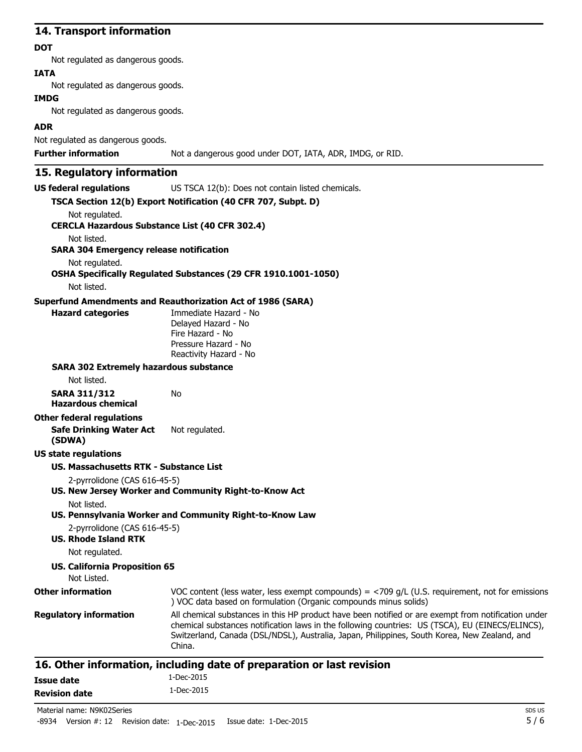#### **14. Transport information**

#### **DOT**

Not regulated as dangerous goods.

#### **IATA**

Not regulated as dangerous goods.

#### **IMDG**

Not regulated as dangerous goods.

#### **ADR**

Not regulated as dangerous goods.

**Further information** Not a dangerous good under DOT, IATA, ADR, IMDG, or RID.

### **15. Regulatory information**

**US federal regulations** US TSCA 12(b): Does not contain listed chemicals.

|                                                              | TSCA Section 12(b) Export Notification (40 CFR 707, Subpt. D)                                                                                                                                                                                                                                                     |
|--------------------------------------------------------------|-------------------------------------------------------------------------------------------------------------------------------------------------------------------------------------------------------------------------------------------------------------------------------------------------------------------|
| Not regulated.                                               |                                                                                                                                                                                                                                                                                                                   |
| <b>CERCLA Hazardous Substance List (40 CFR 302.4)</b>        |                                                                                                                                                                                                                                                                                                                   |
| Not listed.                                                  |                                                                                                                                                                                                                                                                                                                   |
| <b>SARA 304 Emergency release notification</b>               |                                                                                                                                                                                                                                                                                                                   |
| Not regulated.                                               | OSHA Specifically Regulated Substances (29 CFR 1910.1001-1050)                                                                                                                                                                                                                                                    |
| Not listed.                                                  |                                                                                                                                                                                                                                                                                                                   |
|                                                              | <b>Superfund Amendments and Reauthorization Act of 1986 (SARA)</b>                                                                                                                                                                                                                                                |
| <b>Hazard categories</b>                                     | Immediate Hazard - No<br>Delayed Hazard - No<br>Fire Hazard - No<br>Pressure Hazard - No<br>Reactivity Hazard - No                                                                                                                                                                                                |
| <b>SARA 302 Extremely hazardous substance</b><br>Not listed. |                                                                                                                                                                                                                                                                                                                   |
| <b>SARA 311/312</b><br><b>Hazardous chemical</b>             | No                                                                                                                                                                                                                                                                                                                |
| <b>Other federal regulations</b>                             |                                                                                                                                                                                                                                                                                                                   |
| <b>Safe Drinking Water Act</b><br>(SDWA)                     | Not regulated.                                                                                                                                                                                                                                                                                                    |
| US state regulations                                         |                                                                                                                                                                                                                                                                                                                   |
| US. Massachusetts RTK - Substance List                       |                                                                                                                                                                                                                                                                                                                   |
| 2-pyrrolidone (CAS 616-45-5)                                 |                                                                                                                                                                                                                                                                                                                   |
|                                                              | US. New Jersey Worker and Community Right-to-Know Act                                                                                                                                                                                                                                                             |
| Not listed.                                                  |                                                                                                                                                                                                                                                                                                                   |
|                                                              | US. Pennsylvania Worker and Community Right-to-Know Law                                                                                                                                                                                                                                                           |
| 2-pyrrolidone (CAS 616-45-5)                                 |                                                                                                                                                                                                                                                                                                                   |
| <b>US. Rhode Island RTK</b>                                  |                                                                                                                                                                                                                                                                                                                   |
| Not regulated.                                               |                                                                                                                                                                                                                                                                                                                   |
| <b>US. California Proposition 65</b><br>Not Listed.          |                                                                                                                                                                                                                                                                                                                   |
| <b>Other information</b>                                     | VOC content (less water, less exempt compounds) = $<$ 709 g/L (U.S. requirement, not for emissions<br>) VOC data based on formulation (Organic compounds minus solids)                                                                                                                                            |
| <b>Regulatory information</b>                                | All chemical substances in this HP product have been notified or are exempt from notification under<br>chemical substances notification laws in the following countries: US (TSCA), EU (EINECS/ELINCS),<br>Switzerland, Canada (DSL/NDSL), Australia, Japan, Philippines, South Korea, New Zealand, and<br>China. |
|                                                              | 16. Other information, including date of preparation or last revision                                                                                                                                                                                                                                             |
|                                                              |                                                                                                                                                                                                                                                                                                                   |